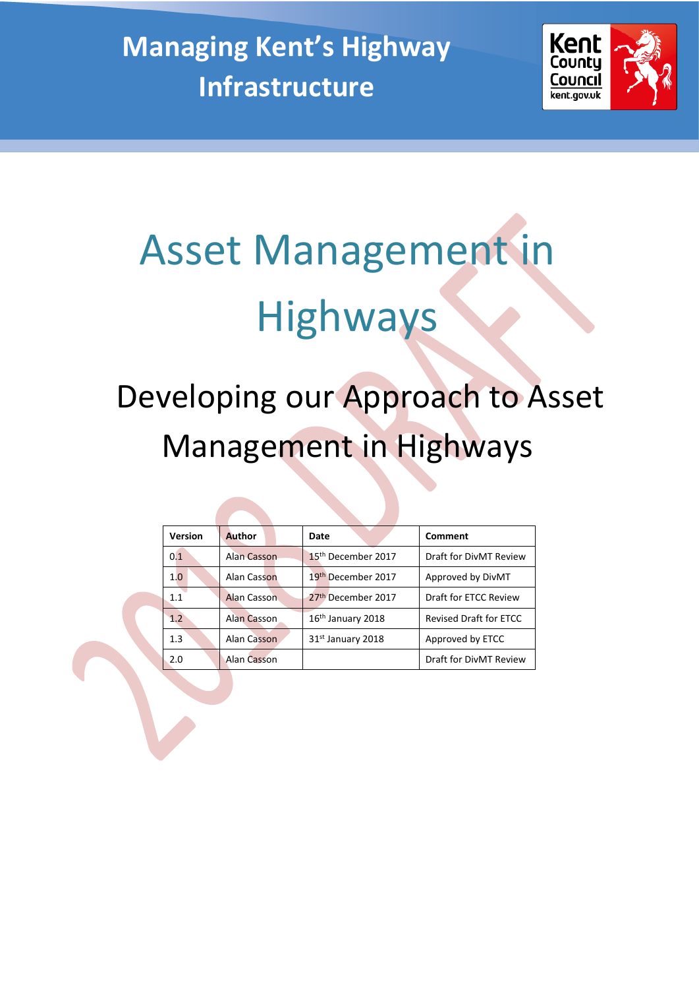**Managing Kent's Highway Infrastructure**



# Asset Management in Highways

# Developing our Approach to Asset Management in Highways

| <b>Version</b> | <b>Author</b> | Comment<br>Date                |                               |  |  |
|----------------|---------------|--------------------------------|-------------------------------|--|--|
| 0.1            | Alan Casson   | 15 <sup>th</sup> December 2017 | Draft for DivMT Review        |  |  |
| 1.0            | Alan Casson   | 19 <sup>th</sup> December 2017 | Approved by DivMT             |  |  |
| 1.1            | Alan Casson   | 27 <sup>th</sup> December 2017 | Draft for ETCC Review         |  |  |
| 1.2            | Alan Casson   | 16 <sup>th</sup> January 2018  | <b>Revised Draft for ETCC</b> |  |  |
| 1.3            | Alan Casson   | 31st January 2018              | Approved by ETCC              |  |  |
| 2.0            | Alan Casson   |                                | Draft for DivMT Review        |  |  |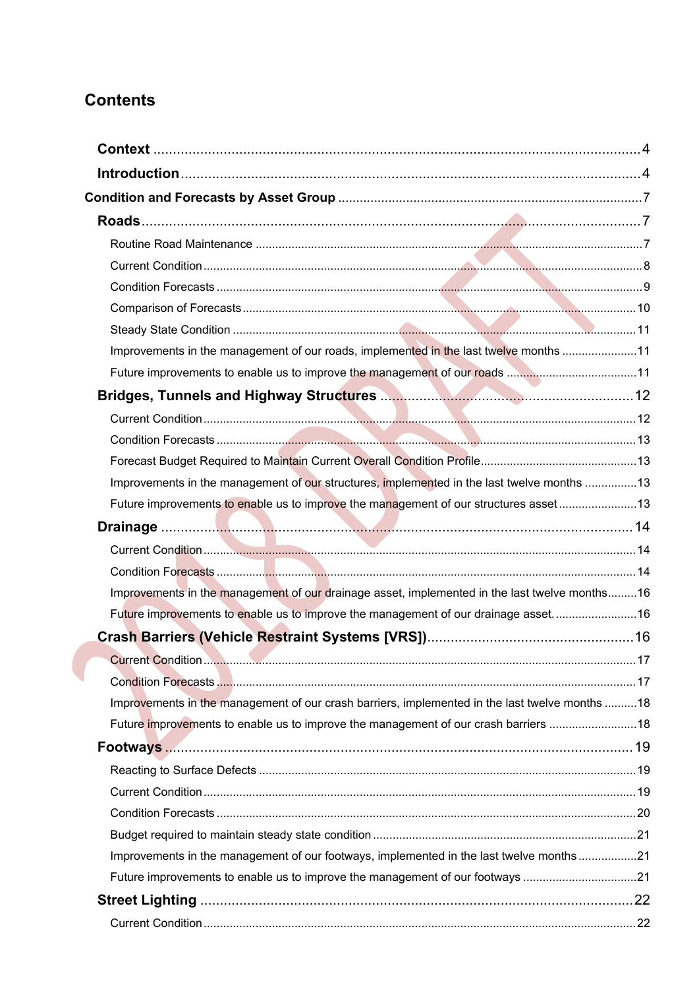# **Contents**

| Improvements in the management of our roads, implemented in the last twelve months 11          |  |
|------------------------------------------------------------------------------------------------|--|
|                                                                                                |  |
|                                                                                                |  |
|                                                                                                |  |
|                                                                                                |  |
|                                                                                                |  |
| Improvements in the management of our structures, implemented in the last twelve months 13     |  |
| Future improvements to enable us to improve the management of our structures asset 13          |  |
|                                                                                                |  |
|                                                                                                |  |
|                                                                                                |  |
| Improvements in the management of our drainage asset, implemented in the last twelve months16  |  |
| Future improvements to enable us to improve the management of our drainage asset16             |  |
|                                                                                                |  |
|                                                                                                |  |
|                                                                                                |  |
| Improvements in the management of our crash barriers, implemented in the last twelve months 18 |  |
| Future improvements to enable us to improve the management of our crash barriers 18            |  |
|                                                                                                |  |
|                                                                                                |  |
|                                                                                                |  |
|                                                                                                |  |
|                                                                                                |  |
| Improvements in the management of our footways, implemented in the last twelve months21        |  |
| Future improvements to enable us to improve the management of our footways 21                  |  |
|                                                                                                |  |
|                                                                                                |  |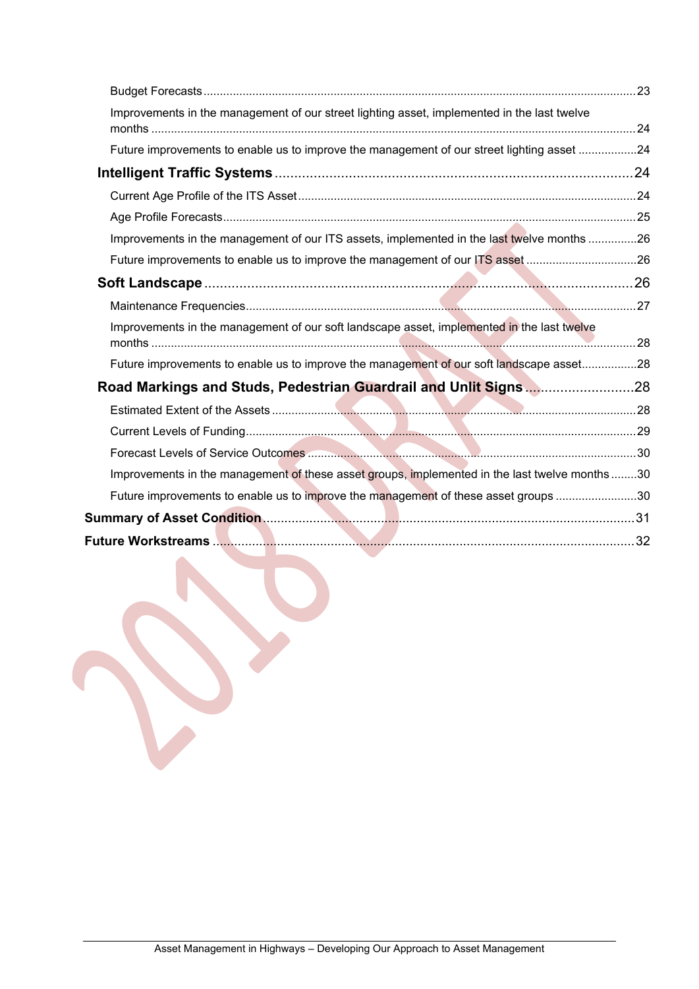| Improvements in the management of our street lighting asset, implemented in the last twelve    |  |
|------------------------------------------------------------------------------------------------|--|
| Future improvements to enable us to improve the management of our street lighting asset 24     |  |
|                                                                                                |  |
|                                                                                                |  |
|                                                                                                |  |
| Improvements in the management of our ITS assets, implemented in the last twelve months 26     |  |
| Future improvements to enable us to improve the management of our ITS asset 26                 |  |
|                                                                                                |  |
|                                                                                                |  |
| Improvements in the management of our soft landscape asset, implemented in the last twelve     |  |
| Future improvements to enable us to improve the management of our soft landscape asset28       |  |
| Road Markings and Studs, Pedestrian Guardrail and Unlit Signs28                                |  |
|                                                                                                |  |
|                                                                                                |  |
|                                                                                                |  |
| Improvements in the management of these asset groups, implemented in the last twelve months 30 |  |
| Future improvements to enable us to improve the management of these asset groups 30            |  |
|                                                                                                |  |
|                                                                                                |  |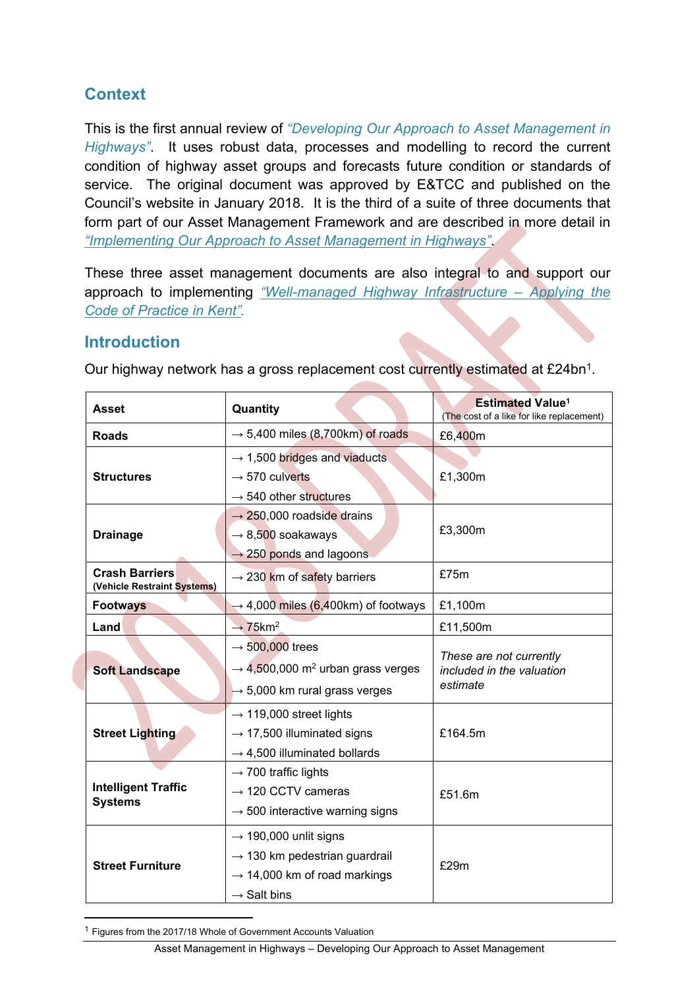# <span id="page-3-0"></span>**Context**

This is the first annual review of *"Developing Our Approach to Asset Management in Highways"*. It uses robust data, processes and modelling to record the current condition of highway asset groups and forecasts future condition or standards of service. The original document was approved by E&TCC and published on the Council's website in January 2018. It is the third of a suite of three documents that form part of our Asset Management Framework and are described in more detail in *["Implementing](http://www.kent.gov.uk/about-the-council/strategies-and-policies/transport-and-highways-policies/highways-asset-management) Our Approach to Asset Management in Highways"*.

These three asset management documents are also integral to and support our approach to implementing *["Well-managed](http://www.kent.gov.uk/about-the-council/strategies-and-policies/transport-and-highways-policies/highways-asset-management) Highway Infrastructure – Applying the Code of [Practice](http://www.kent.gov.uk/about-the-council/strategies-and-policies/transport-and-highways-policies/highways-asset-management) in Kent".*

# <span id="page-3-1"></span>**Introduction**

| <b>Asset</b>                                         | Quantity                                                                                                                                              | <b>Estimated Value<sup>1</sup></b><br>(The cost of a like for like replacement) |  |  |  |  |
|------------------------------------------------------|-------------------------------------------------------------------------------------------------------------------------------------------------------|---------------------------------------------------------------------------------|--|--|--|--|
| <b>Roads</b>                                         | $\rightarrow$ 5,400 miles (8,700km) of roads                                                                                                          | £6,400m                                                                         |  |  |  |  |
| <b>Structures</b>                                    | $\rightarrow$ 1,500 bridges and viaducts<br>$\rightarrow$ 570 culverts<br>$\rightarrow$ 540 other structures                                          | £1,300m                                                                         |  |  |  |  |
| <b>Drainage</b>                                      | $\rightarrow$ 250,000 roadside drains<br>$\rightarrow$ 8,500 soakaways<br>$\rightarrow$ 250 ponds and lagoons                                         | £3,300m                                                                         |  |  |  |  |
| <b>Crash Barriers</b><br>(Vehicle Restraint Systems) | $\rightarrow$ 230 km of safety barriers                                                                                                               | £75m                                                                            |  |  |  |  |
| <b>Footways</b>                                      | $\rightarrow$ 4,000 miles (6,400km) of footways                                                                                                       |                                                                                 |  |  |  |  |
| Land                                                 | $\rightarrow$ 75 km <sup>2</sup>                                                                                                                      | £11,500m                                                                        |  |  |  |  |
| <b>Soft Landscape</b>                                | $\rightarrow$ 500,000 trees<br>$\rightarrow$ 4,500,000 m <sup>2</sup> urban grass verges<br>$\rightarrow$ 5,000 km rural grass verges                 | These are not currently<br>included in the valuation<br>estimate                |  |  |  |  |
| <b>Street Lighting</b>                               | $\rightarrow$ 119,000 street lights<br>$\rightarrow$ 17,500 illuminated signs<br>$\rightarrow$ 4,500 illuminated bollards                             | £164.5m                                                                         |  |  |  |  |
| <b>Intelligent Traffic</b><br><b>Systems</b>         | $\rightarrow$ 700 traffic lights<br>$\rightarrow$ 120 CCTV cameras<br>$\rightarrow$ 500 interactive warning signs                                     | £51.6m                                                                          |  |  |  |  |
| <b>Street Furniture</b>                              | $\rightarrow$ 190,000 unlit signs<br>$\rightarrow$ 130 km pedestrian guardrail<br>$\rightarrow$ 14,000 km of road markings<br>$\rightarrow$ Salt bins | £29m                                                                            |  |  |  |  |

Our highway network has a gross replacement cost currently estimated at £24bn<sup>1</sup>.

<sup>1</sup> Figures from the 2017/18 Whole of Government Accounts Valuation

Asset Management in Highways – Developing Our Approach to Asset Management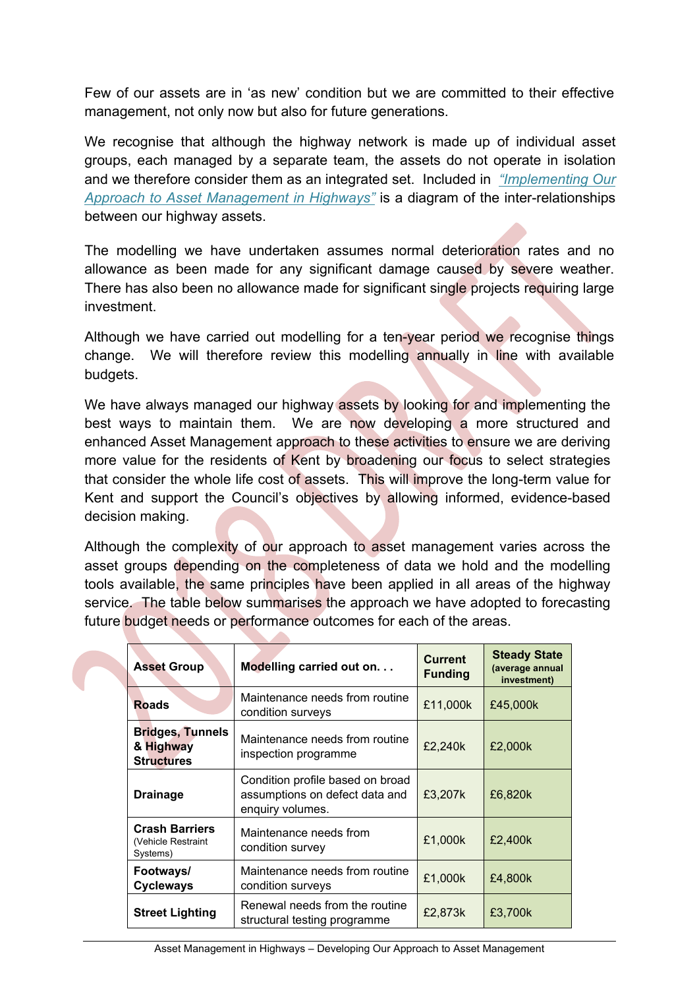Few of our assets are in 'as new' condition but we are committed to their effective management, not only now but also for future generations.

We recognise that although the highway network is made up of individual asset groups, each managed by a separate team, the assets do not operate in isolation and we therefore consider them as an integrated set. Included in *["Implementing](http://www.kent.gov.uk/about-the-council/strategies-and-policies/transport-and-highways-policies/highways-asset-management) Our Approach to Asset [Management](http://www.kent.gov.uk/about-the-council/strategies-and-policies/transport-and-highways-policies/highways-asset-management) in Highways"* is a diagram of the inter-relationships between our highway assets.

The modelling we have undertaken assumes normal deterioration rates and no allowance as been made for any significant damage caused by severe weather. There has also been no allowance made for significant single projects requiring large investment.

Although we have carried out modelling for a ten-year period we recognise things change. We will therefore review this modelling annually in line with available budgets.

We have always managed our highway assets by looking for and implementing the best ways to maintain them. We are now developing a more structured and enhanced Asset Management approach to these activities to ensure we are deriving more value for the residents of Kent by broadening our focus to select strategies that consider the whole life cost of assets. This will improve the long-term value for Kent and support the Council's objectives by allowing informed, evidence-based decision making.

Although the complexity of our approach to asset management varies across the asset groups depending on the completeness of data we hold and the modelling tools available, the same principles have been applied in all areas of the highway service. The table below summarises the approach we have adopted to forecasting future budget needs or performance outcomes for each of the areas.

| <b>Asset Group</b>                                        | Modelling carried out on                                                               | <b>Current</b><br><b>Funding</b> | <b>Steady State</b><br>(average annual<br>investment) |
|-----------------------------------------------------------|----------------------------------------------------------------------------------------|----------------------------------|-------------------------------------------------------|
| <b>Roads</b>                                              | Maintenance needs from routine<br>condition surveys                                    | £11,000k                         | £45,000k                                              |
| <b>Bridges, Tunnels</b><br>& Highway<br><b>Structures</b> | Maintenance needs from routine<br>inspection programme                                 |                                  | £2,000k                                               |
| <b>Drainage</b>                                           | Condition profile based on broad<br>assumptions on defect data and<br>enquiry volumes. | £3,207k                          | £6,820k                                               |
| <b>Crash Barriers</b><br>(Vehicle Restraint<br>Systems)   | Maintenance needs from<br>condition survey                                             | £1,000k                          | £2,400k                                               |
| Footways/<br><b>Cycleways</b>                             | Maintenance needs from routine<br>condition surveys                                    |                                  | £4.800k                                               |
| <b>Street Lighting</b>                                    | Renewal needs from the routine<br>structural testing programme                         | £2,873k                          | £3,700k                                               |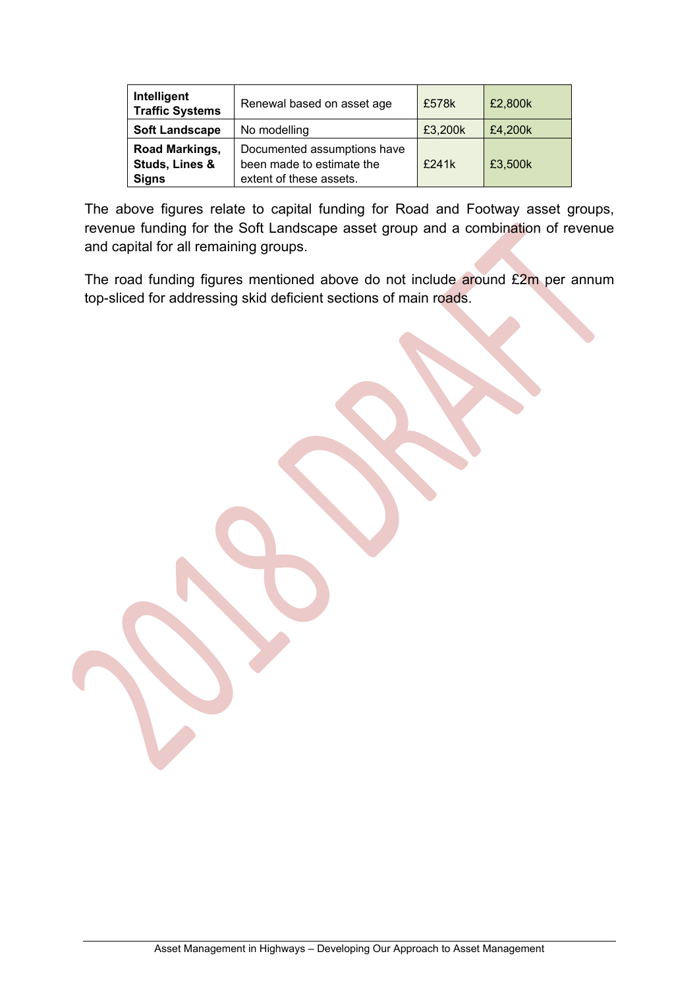| Intelligent<br><b>Traffic Systems</b>            | Renewal based on asset age                                                          | £578k   | £2,800k |
|--------------------------------------------------|-------------------------------------------------------------------------------------|---------|---------|
| <b>Soft Landscape</b>                            | £3,200k                                                                             | £4,200k |         |
| Road Markings,<br>Studs, Lines &<br><b>Signs</b> | Documented assumptions have<br>been made to estimate the<br>extent of these assets. | £241k   | £3,500k |

The above figures relate to capital funding for Road and Footway asset groups, revenue funding for the Soft Landscape asset group and a combination of revenue and capital for all remaining groups.

The road funding figures mentioned above do not include around £2m per annum top-sliced for addressing skid deficient sections of main roads.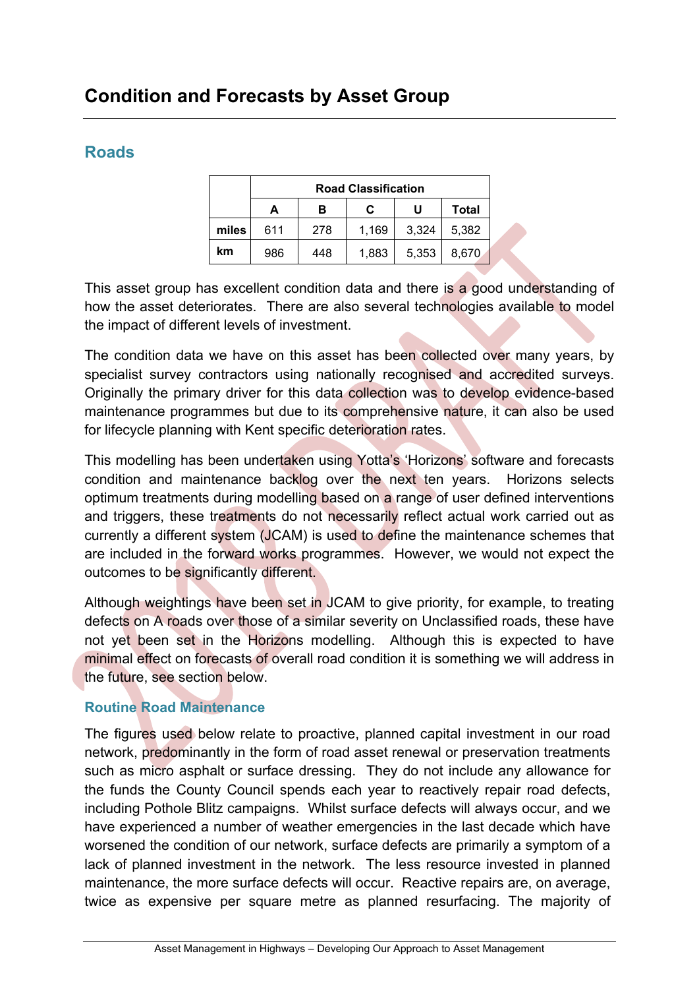# <span id="page-6-0"></span>**Condition and Forecasts by Asset Group**

# <span id="page-6-1"></span>**Roads**

|       |     |     | <b>Road Classification</b> |       |       |
|-------|-----|-----|----------------------------|-------|-------|
|       | А   | U   | Total                      |       |       |
| miles | 611 | 278 | 1,169                      | 3,324 | 5.382 |
| km    | 986 | 448 | 1,883                      | 5,353 | 8,670 |

This asset group has excellent condition data and there is a good understanding of how the asset deteriorates. There are also several technologies available to model the impact of different levels of investment.

The condition data we have on this asset has been collected over many years, by specialist survey contractors using nationally recognised and accredited surveys. Originally the primary driver for this data collection was to develop evidence-based maintenance programmes but due to its comprehensive nature, it can also be used for lifecycle planning with Kent specific deterioration rates.

This modelling has been undertaken using Yotta's 'Horizons' software and forecasts condition and maintenance backlog over the next ten years. Horizons selects optimum treatments during modelling based on a range of user defined interventions and triggers, these treatments do not necessarily reflect actual work carried out as currently a different system (JCAM) is used to define the maintenance schemes that are included in the forward works programmes. However, we would not expect the outcomes to be significantly different.

Although weightings have been set in JCAM to give priority, for example, to treating defects on A roads over those of a similar severity on Unclassified roads, these have not yet been set in the Horizons modelling. Although this is expected to have minimal effect on forecasts of overall road condition it is something we will address in the future, see section below.

# <span id="page-6-2"></span>**Routine Road Maintenance**

The figures used below relate to proactive, planned capital investment in our road network, predominantly in the form of road asset renewal or preservation treatments such as micro asphalt or surface dressing. They do not include any allowance for the funds the County Council spends each year to reactively repair road defects, including Pothole Blitz campaigns. Whilst surface defects will always occur, and we have experienced a number of weather emergencies in the last decade which have worsened the condition of our network, surface defects are primarily a symptom of a lack of planned investment in the network. The less resource invested in planned maintenance, the more surface defects will occur. Reactive repairs are, on average, twice as expensive per square metre as planned resurfacing. The majority of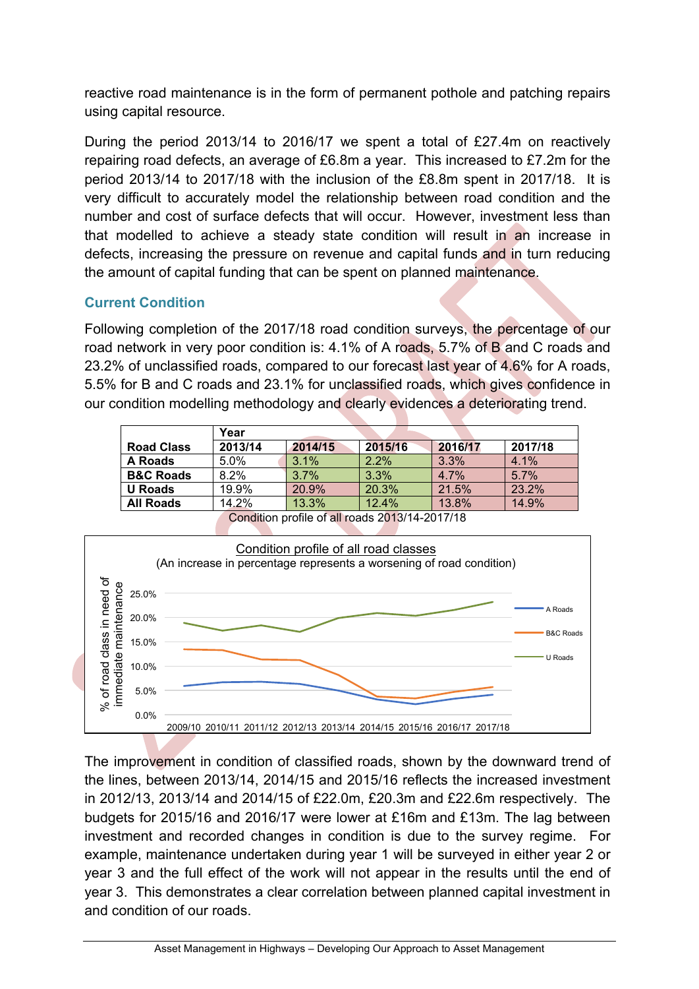reactive road maintenance is in the form of permanent pothole and patching repairs using capital resource.

During the period 2013/14 to 2016/17 we spent a total of £27.4m on reactively repairing road defects, an average of £6.8m a year. This increased to £7.2m for the period 2013/14 to 2017/18 with the inclusion of the £8.8m spent in 2017/18. It is very difficult to accurately model the relationship between road condition and the number and cost of surface defects that will occur. However, investment less than that modelled to achieve a steady state condition will result in an increase in defects, increasing the pressure on revenue and capital funds and in turn reducing the amount of capital funding that can be spent on planned maintenance.

# <span id="page-7-0"></span>**Current Condition**

Following completion of the 2017/18 road condition surveys, the percentage of our road network in very poor condition is: 4.1% of A roads, 5.7% of B and C roads and 23.2% of unclassified roads, compared to our forecast last year of 4.6% for A roads, 5.5% for B and C roads and 23.1% for unclassified roads, which gives confidence in our condition modelling methodology and clearly evidences a deteriorating trend.

|                      | Year    |                                                |         |         |         |  |  |  |  |  |
|----------------------|---------|------------------------------------------------|---------|---------|---------|--|--|--|--|--|
| <b>Road Class</b>    | 2013/14 | 2014/15                                        | 2015/16 | 2016/17 | 2017/18 |  |  |  |  |  |
| A Roads              | $5.0\%$ | 3.1%                                           | $2.2\%$ | 3.3%    | 4.1%    |  |  |  |  |  |
| <b>B&amp;C Roads</b> | 8.2%    | 3.7%                                           | 3.3%    | $4.7\%$ | 5.7%    |  |  |  |  |  |
| <b>U</b> Roads       | 19.9%   | 20.9%                                          | 20.3%   | 21.5%   | 23.2%   |  |  |  |  |  |
| <b>All Roads</b>     | 14.2%   | 13.3%                                          | 12.4%   | 13.8%   | 14.9%   |  |  |  |  |  |
|                      |         | Condition profile of all roade 2012/14 2017/18 |         |         |         |  |  |  |  |  |



profile of all roads 2013/14-2017/18

The improvement in condition of classified roads, shown by the downward trend of the lines, between 2013/14, 2014/15 and 2015/16 reflects the increased investment in 2012/13, 2013/14 and 2014/15 of £22.0m, £20.3m and £22.6m respectively. The budgets for 2015/16 and 2016/17 were lower at £16m and £13m. The lag between investment and recorded changes in condition is due to the survey regime. For example, maintenance undertaken during year 1 will be surveyed in either year 2 or year 3 and the full effect of the work will not appear in the results until the end of year 3. This demonstrates a clear correlation between planned capital investment in and condition of our roads.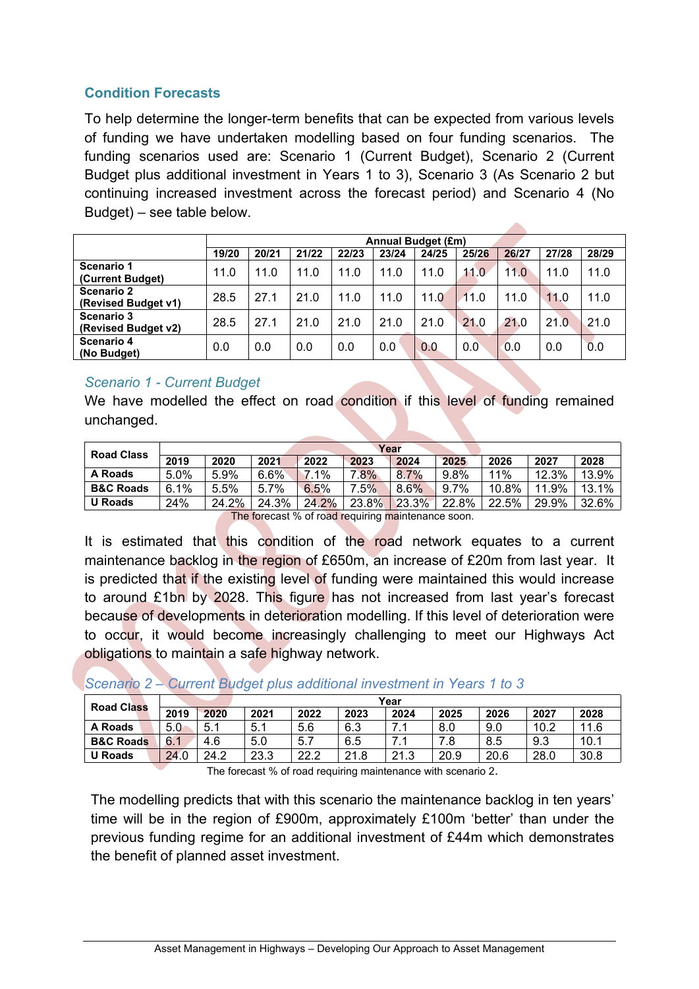# <span id="page-8-0"></span>**Condition Forecasts**

To help determine the longer-term benefits that can be expected from various levels of funding we have undertaken modelling based on four funding scenarios. The funding scenarios used are: Scenario 1 (Current Budget), Scenario 2 (Current Budget plus additional investment in Years 1 to 3), Scenario 3 (As Scenario 2 but continuing increased investment across the forecast period) and Scenario 4 (No Budget) – see table below.

|                                          |       |       |       |       | <b>Annual Budget (£m)</b> |       |       |       |       |       |
|------------------------------------------|-------|-------|-------|-------|---------------------------|-------|-------|-------|-------|-------|
|                                          | 19/20 | 20/21 | 21/22 | 22/23 | 23/24                     | 24/25 | 25/26 | 26/27 | 27/28 | 28/29 |
| Scenario 1<br>(Current Budget)           | 11.0  | 11.0  | 11.0  | 11.0  | 11.0                      | 11.0  | 11.0  | 11.0  | 11.0  | 11.0  |
| <b>Scenario 2</b><br>(Revised Budget v1) | 28.5  | 27.1  | 21.0  | 11.0  | 11.0                      | 11.0  | 11.0  | 11.0  | 11.0  | 11.0  |
| Scenario 3<br>(Revised Budget v2)        | 28.5  | 27.1  | 21.0  | 21.0  | 21.0                      | 21.0  | 21.0  | 21.0  | 21.0  | 21.0  |
| Scenario 4<br>(No Budget)                | 0.0   | 0.0   | 0.0   | 0.0   | 0.0                       | 0.0   | 0.0   | 0.0   | 0.0   | 0.0   |

# *Scenario 1 - Current Budget*

We have modelled the effect on road condition if this level of funding remained unchanged.

| Year |       |         |       |                         |         |       |       |       |       |  |  |  |
|------|-------|---------|-------|-------------------------|---------|-------|-------|-------|-------|--|--|--|
| 2019 | 2020  | 2021    | 2022  | 2023                    | 2024    | 2025  | 2026  | 2027  | 2028  |  |  |  |
| 5.0% | 5.9%  | 6.6%    | 7.1%  | .8%                     | $8.7\%$ | 9.8%  | 11%   | 12.3% | 13.9% |  |  |  |
| 6.1% | 5.5%  | $5.7\%$ | 6.5%  | $.5\%$                  | 8.6%    | 9.7%  | 10.8% | 11.9% | 13.1% |  |  |  |
| 24%  | 24.2% | 24.3%   | 24.2% | 23.8%                   | 23.3%   | 22.8% | 22.5% | 29.9% | 32.6% |  |  |  |
|      |       | --      |       | $\cdot$ $\cdot$ $\cdot$ |         |       |       |       |       |  |  |  |

The forecast % of road requiring maintenance soon.

It is estimated that this condition of the road network equates to a current maintenance backlog in the region of £650m, an increase of £20m from last year. It is predicted that if the existing level of funding were maintained this would increase to around £1bn by 2028. This figure has not increased from last year's forecast because of developments in deterioration modelling. If this level of deterioration were to occur, it would become increasingly challenging to meet our Highways Act obligations to maintain a safe highway network.

#### *Scenario 2 – Current Budget plus additional investment in Years 1 to 3*

| <b>Road Class</b>    |      | Year |      |      |      |      |      |      |      |      |  |
|----------------------|------|------|------|------|------|------|------|------|------|------|--|
|                      | 2019 | 2020 | 2021 | 2022 | 2023 | 2024 | 2025 | 2026 | 2027 | 2028 |  |
| <b>A Roads</b>       | 5.0  | 5.1  | 5.1  | 5.6  | 6.3  | .    | 8.0  | 9.0  | 10.2 | 11.6 |  |
| <b>B&amp;C Roads</b> | 6.1  | 4.6  | 5.0  | 5.7  | 6.5  |      | 7.8  | 8.5  | 9.3  | 10.1 |  |
| <b>U</b> Roads       | 24.0 | 24.2 | 23.3 | 22.2 | 21.8 | 21.3 | 20.9 | 20.6 | 28.0 | 30.8 |  |
|                      |      |      |      |      |      |      |      |      |      |      |  |

The forecast % of road requiring maintenance with scenario 2.

The modelling predicts that with this scenario the maintenance backlog in ten years' time will be in the region of £900m, approximately £100m 'better' than under the previous funding regime for an additional investment of £44m which demonstrates the benefit of planned asset investment.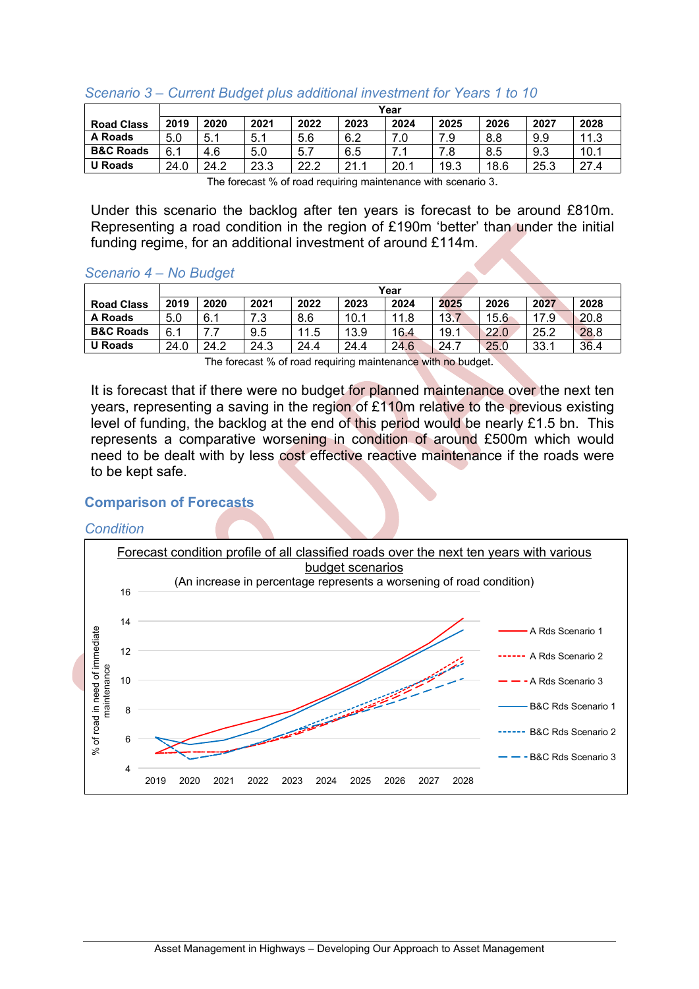|                      | Year |      |      |      |                 |      |      |      |      |      |  |  |
|----------------------|------|------|------|------|-----------------|------|------|------|------|------|--|--|
| <b>Road Class</b>    | 2019 | 2020 | 2021 | 2022 | 2023            | 2024 | 2025 | 2026 | 2027 | 2028 |  |  |
| A Roads              | 5.0  | 5.1  | 5.1  | 5.6  | 6.2             |      | 7.9  | 8.8  | 9.9  | 11.3 |  |  |
| <b>B&amp;C Roads</b> | 6.1  | 4.6  | 5.0  | 5.1  | 6.5             | .    | 7.8  | 8.5  | 9.3  | 10.1 |  |  |
| <b>U</b> Roads       | 24.0 | 24.2 | 23.3 | 22.2 | 21 <sub>1</sub> | 20.1 | 19.3 | 18.6 | 25.3 | 27.4 |  |  |

#### *Scenario 3 – Current Budget plus additional investment for Years 1 to 10*

The forecast % of road requiring maintenance with scenario 3.

Under this scenario the backlog after ten years is forecast to be around £810m. Representing a road condition in the region of £190m 'better' than under the initial funding regime, for an additional investment of around £114m.

#### *Scenario 4 – No Budget*

|                      |      | Year |          |      |      |      |      |      |      |      |  |
|----------------------|------|------|----------|------|------|------|------|------|------|------|--|
| <b>Road Class</b>    | 2019 | 2020 | 2021     | 2022 | 2023 | 2024 | 2025 | 2026 | 2027 | 2028 |  |
| A Roads              | 5.0  | 6.1  | 72<br>د. | 8.6  | 10.1 | 11.8 | 13.7 | 15.6 | 17 Q | 20.8 |  |
| <b>B&amp;C Roads</b> | 6.1  |      | 9.5      | 11.5 | 13.9 | 16.4 | 19.1 | 22.0 | 25.2 | 28.8 |  |
| <b>U</b> Roads       | 24.0 | 24.2 | 24.3     | 24.4 | 24.4 | 24.6 | 24.7 | 25.0 | 33.1 | 36.4 |  |

The forecast % of road requiring maintenance with no budget*.*

It is forecast that if there were no budget for planned maintenance over the next ten years, representing a saving in the region of £110m relative to the previous existing level of funding, the backlog at the end of this period would be nearly £1.5 bn. This represents a comparative worsening in condition of around £500m which would need to be dealt with by less cost effective reactive maintenance if the roads were to be kept safe.

#### <span id="page-9-0"></span>**Comparison of Forecasts**

#### *Condition*

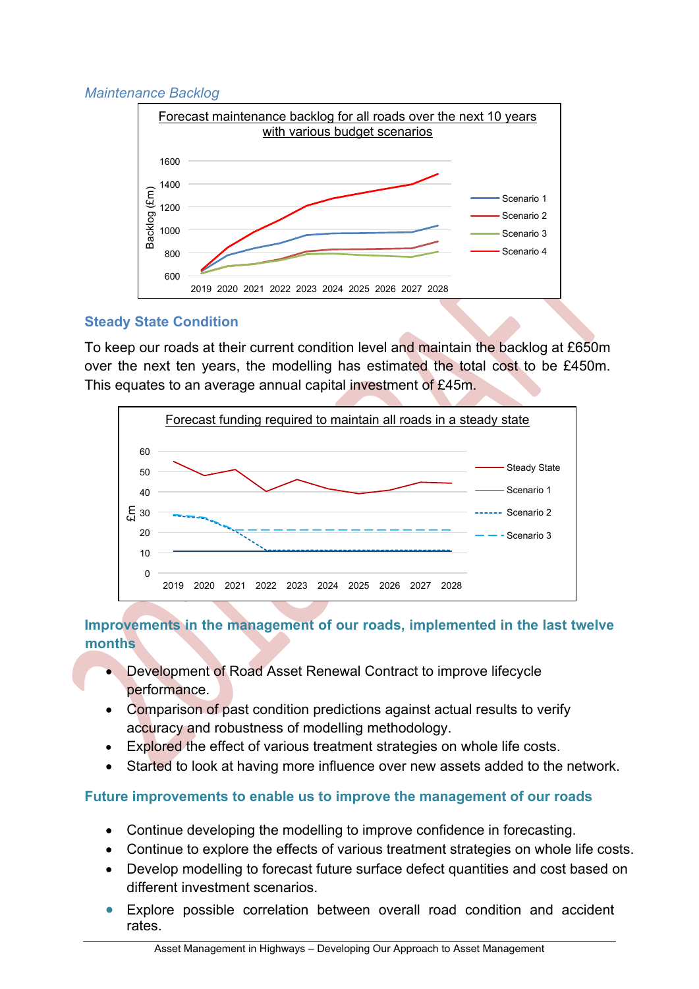# *Maintenance Backlog*



# <span id="page-10-0"></span>**Steady State Condition**

To keep our roads at their current condition level and maintain the backlog at £650m over the next ten years, the modelling has estimated the total cost to be £450m. This equates to an average annual capital investment of £45m.



# <span id="page-10-1"></span>**Improvements in the management of our roads, implemented in the last twelve months**

- Development of Road Asset Renewal Contract to improve lifecycle performance.
- Comparison of past condition predictions against actual results to verify accuracy and robustness of modelling methodology.
- Explored the effect of various treatment strategies on whole life costs.
- Started to look at having more influence over new assets added to the network.

# <span id="page-10-2"></span>**Future improvements to enable us to improve the management of our roads**

- Continue developing the modelling to improve confidence in forecasting.
- Continue to explore the effects of various treatment strategies on whole life costs.
- Develop modelling to forecast future surface defect quantities and cost based on different investment scenarios.
- Explore possible correlation between overall road condition and accident rates.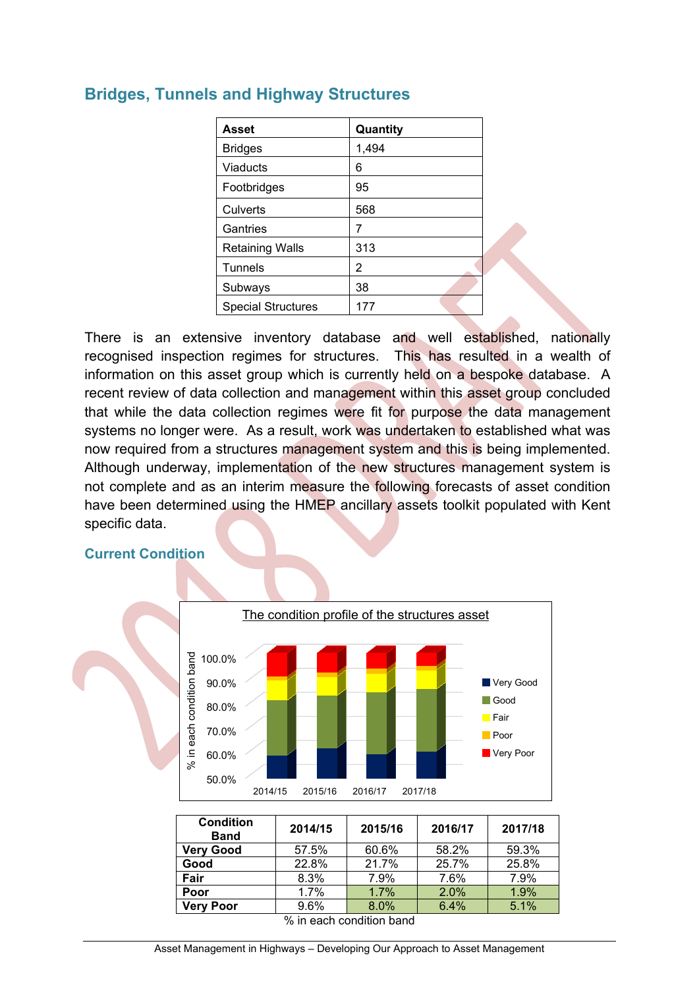| <b>Asset</b>              | Quantity |
|---------------------------|----------|
| <b>Bridges</b>            | 1,494    |
| <b>Viaducts</b>           | 6        |
| Footbridges               | 95       |
| Culverts                  | 568      |
| Gantries                  | 7        |
| <b>Retaining Walls</b>    | 313      |
| <b>Tunnels</b>            | 2        |
| Subways                   | 38       |
| <b>Special Structures</b> | 177      |

# <span id="page-11-0"></span>**Bridges, Tunnels and Highway Structures**

There is an extensive inventory database and well established, nationally recognised inspection regimes for structures. This has resulted in a wealth of information on this asset group which is currently held on a bespoke database. A recent review of data collection and management within this asset group concluded that while the data collection regimes were fit for purpose the data management systems no longer were. As a result, work was undertaken to established what was now required from a structures management system and this is being implemented. Although underway, implementation of the new structures management system is not complete and as an interim measure the following forecasts of asset condition have been determined using the HMEP ancillary assets toolkit populated with Kent specific data.

# <span id="page-11-1"></span>**Current Condition**



| 2014/15 | 2015/16 | 2016/17       | 2017/18 |
|---------|---------|---------------|---------|
| 57.5%   | 60.6%   | 58.2%         | 59.3%   |
| 22.8%   | 21.7%   | 25.7%         | 25.8%   |
| 8.3%    | 7.9%    | 7.6%          | 7.9%    |
| 1.7%    | $1.7\%$ | 2.0%          | 1.9%    |
| $9.6\%$ | $8.0\%$ | 6.4%          | 5.1%    |
|         |         | - - -<br>---- |         |

% in each condition band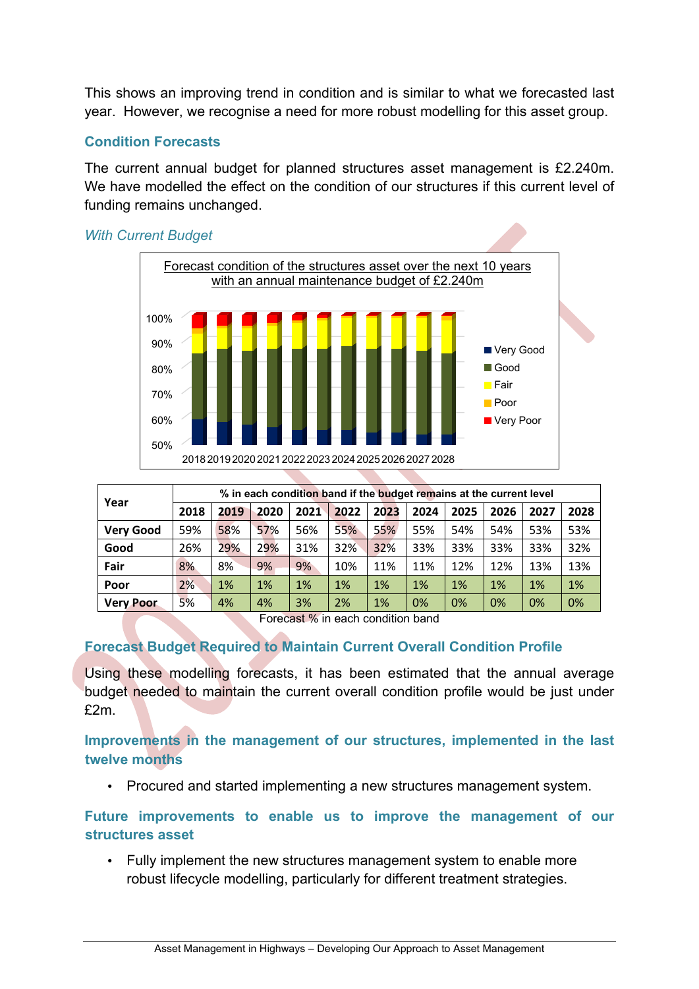This shows an improving trend in condition and is similar to what we forecasted last year. However, we recognise a need for more robust modelling for this asset group.

# <span id="page-12-0"></span>**Condition Forecasts**

The current annual budget for planned structures asset management is £2.240m. We have modelled the effect on the condition of our structures if this current level of funding remains unchanged.



| Year             |      | % in each condition band if the budget remains at the current level |      |      |      |      |      |      |      |      |      |  |
|------------------|------|---------------------------------------------------------------------|------|------|------|------|------|------|------|------|------|--|
|                  | 2018 | 2019                                                                | 2020 | 2021 | 2022 | 2023 | 2024 | 2025 | 2026 | 2027 | 2028 |  |
| <b>Very Good</b> | 59%  | 58%                                                                 | 57%  | 56%  | 55%  | 55%  | 55%  | 54%  | 54%  | 53%  | 53%  |  |
| Good             | 26%  | 29%                                                                 | 29%  | 31%  | 32%  | 32%  | 33%  | 33%  | 33%  | 33%  | 32%  |  |
| Fair             | 8%   | 8%                                                                  | 9%   | 9%   | 10%  | 11%  | 11%  | 12%  | 12%  | 13%  | 13%  |  |
| Poor             | 2%   | 1%                                                                  | 1%   | 1%   | 1%   | 1%   | 1%   | 1%   | 1%   | 1%   | 1%   |  |
| <b>Very Poor</b> | 5%   | 4%                                                                  | 4%   | 3%   | 2%   | 1%   | 0%   | 0%   | 0%   | 0%   | 0%   |  |

Forecast % in each condition band

# <span id="page-12-1"></span>**Forecast Budget Required to Maintain Current Overall Condition Profile**

Using these modelling forecasts, it has been estimated that the annual average budget needed to maintain the current overall condition profile would be just under £2m.

<span id="page-12-2"></span>**Improvements in the management of our structures, implemented in the last twelve months**

• Procured and started implementing a new structures management system.

<span id="page-12-3"></span>**Future improvements to enable us to improve the management of our structures asset**

• Fully implement the new structures management system to enable more robust lifecycle modelling, particularly for different treatment strategies.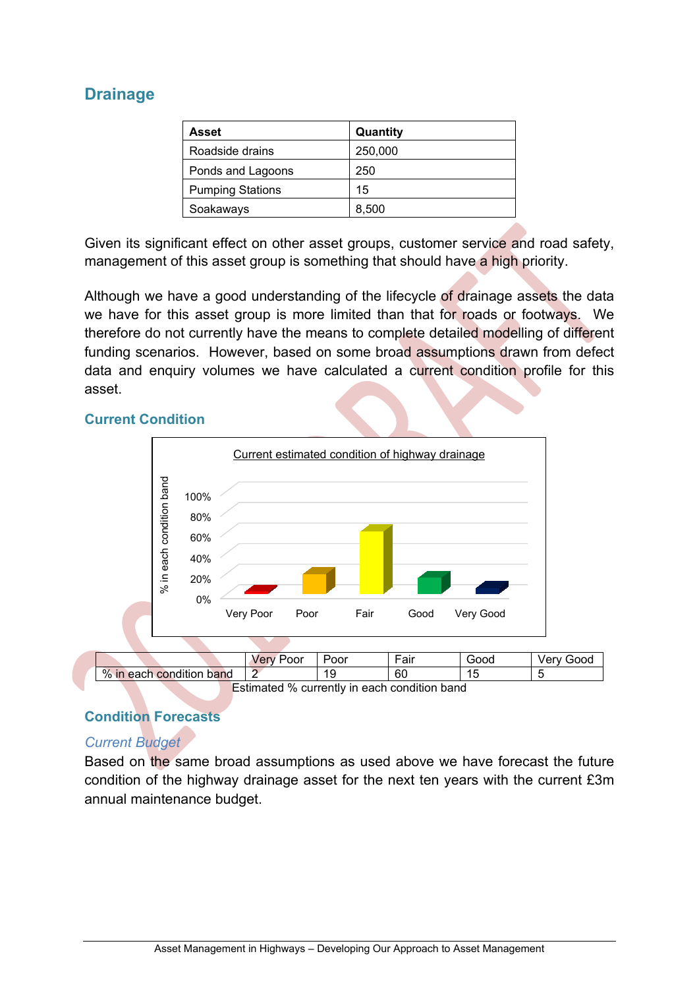# <span id="page-13-0"></span>**Drainage**

| Asset                   | Quantity |
|-------------------------|----------|
| Roadside drains         | 250,000  |
| Ponds and Lagoons       | 250      |
| <b>Pumping Stations</b> | 15       |
| Soakaways               | 8,500    |

Given its significant effect on other asset groups, customer service and road safety, management of this asset group is something that should have a high priority.

Although we have a good understanding of the lifecycle of drainage assets the data we have for this asset group is more limited than that for roads or footways. We therefore do not currently have the means to complete detailed modelling of different funding scenarios. However, based on some broad assumptions drawn from defect data and enquiry volumes we have calculated a current condition profile for this asset.

#### <span id="page-13-1"></span>**Current Condition**



# <span id="page-13-2"></span>**Condition Forecasts**

# *Current Budget*

Based on the same broad assumptions as used above we have forecast the future condition of the highway drainage asset for the next ten years with the current £3m annual maintenance budget.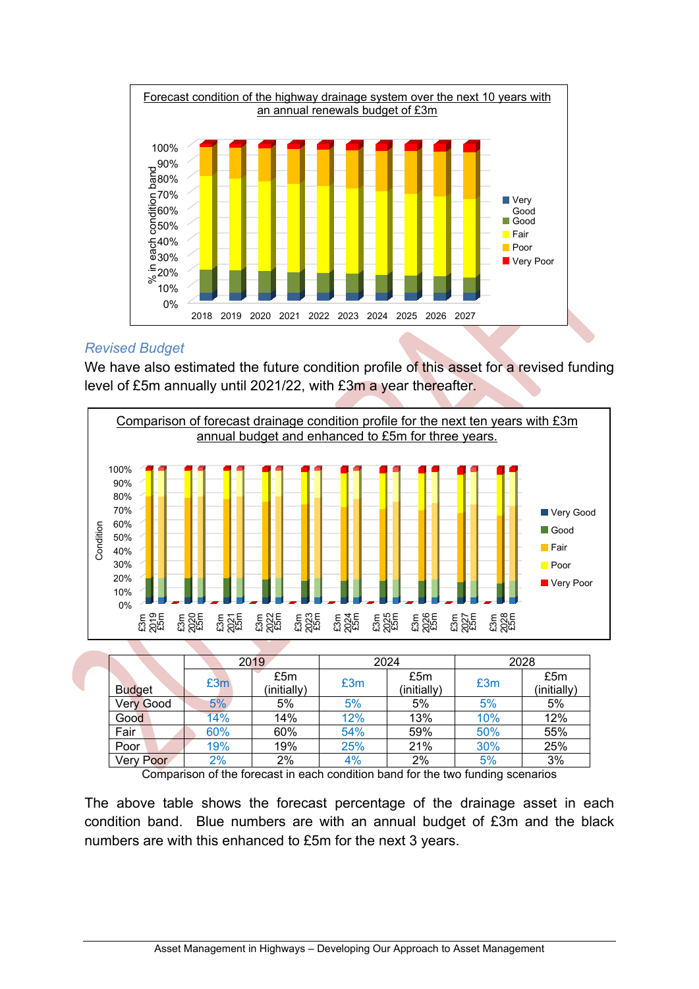

# *Revised Budget*

We have also estimated the future condition profile of this asset for a revised funding level of £5m annually until 2021/22, with £3m a year thereafter.



Comparison of the forecast in each condition band for the two funding scenarios

The above table shows the forecast percentage of the drainage asset in each condition band. Blue numbers are with an annual budget of £3m and the black numbers are with this enhanced to £5m for the next 3 years.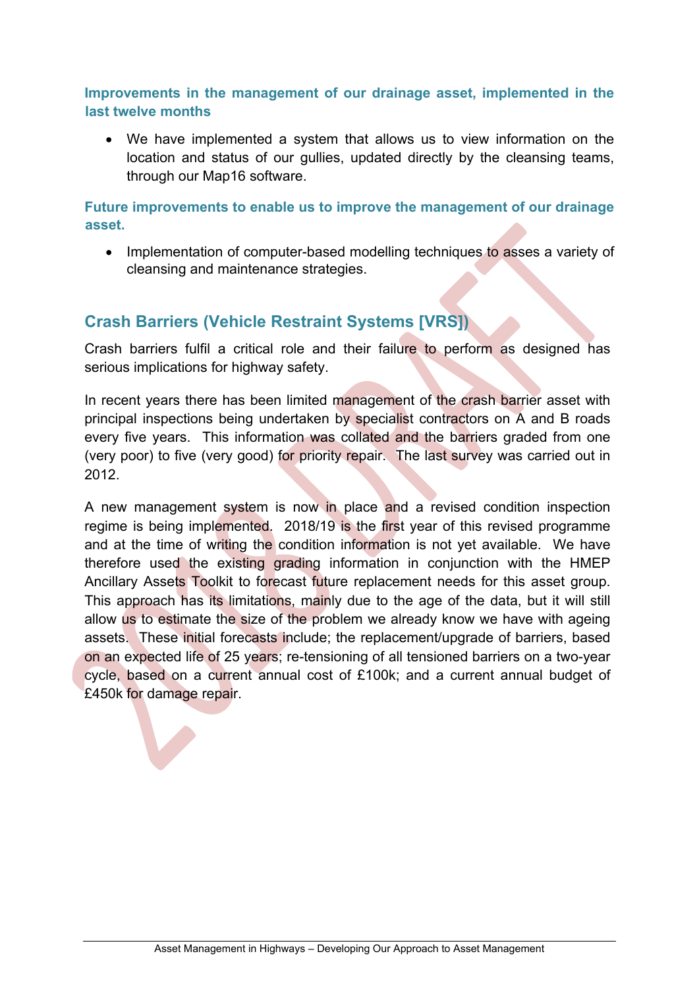<span id="page-15-0"></span>**Improvements in the management of our drainage asset, implemented in the last twelve months**

 We have implemented a system that allows us to view information on the location and status of our gullies, updated directly by the cleansing teams, through our Map16 software.

<span id="page-15-1"></span>**Future improvements to enable us to improve the management of our drainage asset.**

• Implementation of computer-based modelling techniques to asses a variety of cleansing and maintenance strategies.

# <span id="page-15-2"></span>**Crash Barriers (Vehicle Restraint Systems [VRS])**

Crash barriers fulfil a critical role and their failure to perform as designed has serious implications for highway safety.

In recent years there has been limited management of the crash barrier asset with principal inspections being undertaken by specialist contractors on A and B roads every five years. This information was collated and the barriers graded from one (very poor) to five (very good) for priority repair. The last survey was carried out in 2012.

A new management system is now in place and a revised condition inspection regime is being implemented. 2018/19 is the first year of this revised programme and at the time of writing the condition information is not yet available. We have therefore used the existing grading information in conjunction with the HMEP Ancillary Assets Toolkit to forecast future replacement needs for this asset group. This approach has its limitations, mainly due to the age of the data, but it will still allow us to estimate the size of the problem we already know we have with ageing assets. These initial forecasts include; the replacement/upgrade of barriers, based on an expected life of 25 years; re-tensioning of all tensioned barriers on a two-year cycle, based on a current annual cost of £100k; and a current annual budget of £450k for damage repair.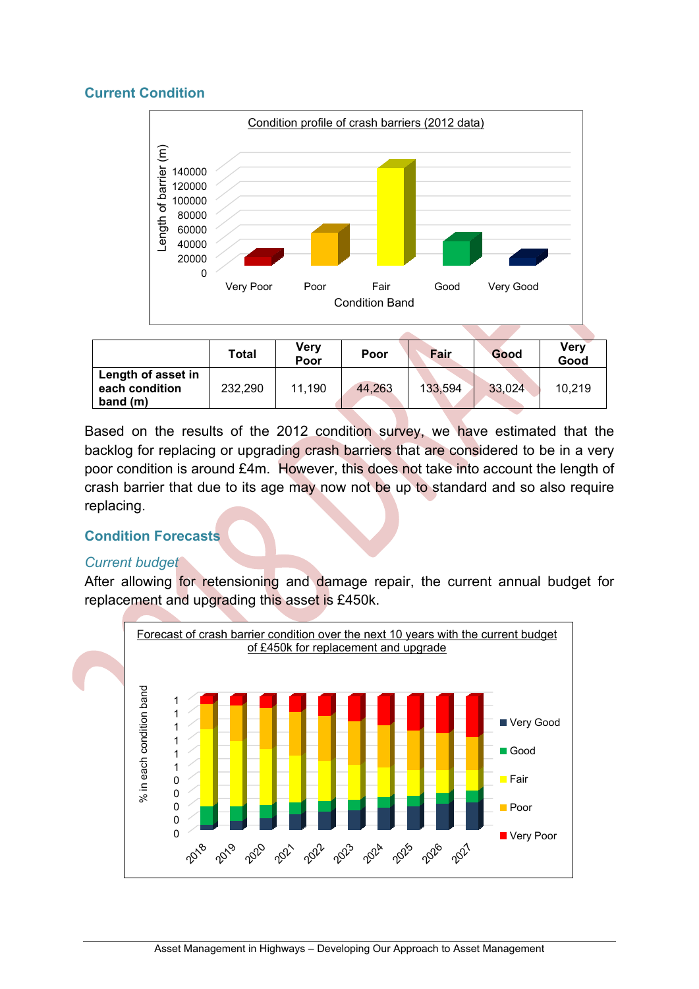# <span id="page-16-0"></span>**Current Condition**



|                                                    | Total   | Verv<br>Poor | Poor   | Fair    | Good   | <b>Very</b><br>Good |
|----------------------------------------------------|---------|--------------|--------|---------|--------|---------------------|
| Length of asset in<br>each condition<br>band $(m)$ | 232,290 | 11,190       | 44,263 | 133,594 | 33,024 | 10,219              |

Based on the results of the 2012 condition survey, we have estimated that the backlog for replacing or upgrading crash barriers that are considered to be in a very poor condition is around £4m. However, this does not take into account the length of crash barrier that due to its age may now not be up to standard and so also require replacing.

# <span id="page-16-1"></span>**Condition Forecasts**

#### *Current budget*

After allowing for retensioning and damage repair, the current annual budget for replacement and upgrading this asset is £450k.

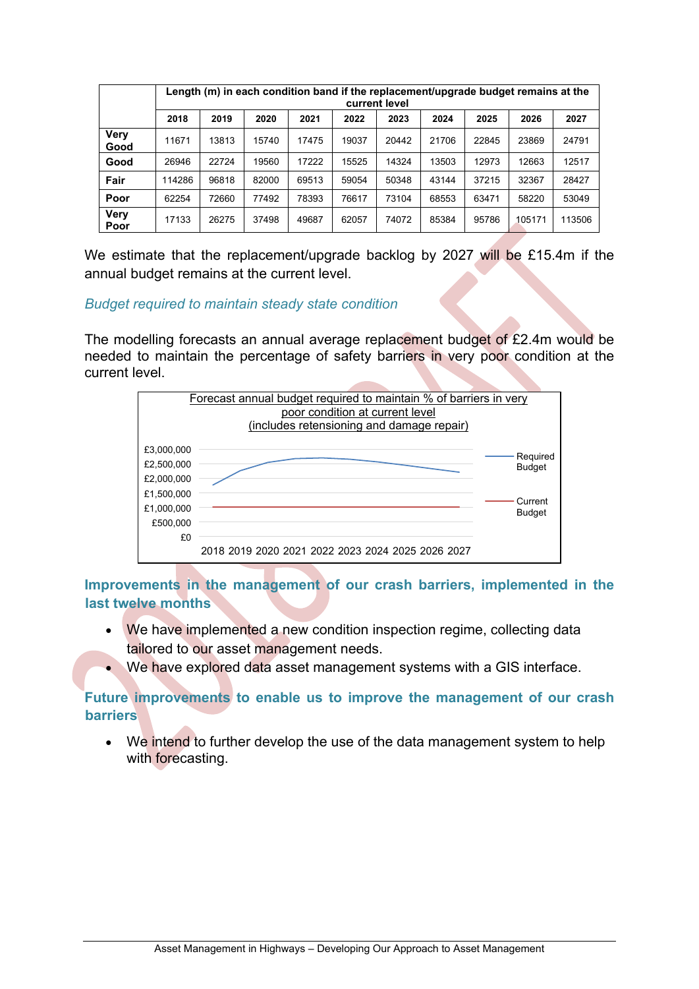|                     | Length (m) in each condition band if the replacement/upgrade budget remains at the<br>current level |       |       |       |       |       |       |       |        |        |  |
|---------------------|-----------------------------------------------------------------------------------------------------|-------|-------|-------|-------|-------|-------|-------|--------|--------|--|
|                     | 2018                                                                                                | 2019  | 2020  | 2021  | 2022  | 2023  | 2024  | 2025  | 2026   | 2027   |  |
| <b>Very</b><br>Good | 11671                                                                                               | 13813 | 15740 | 17475 | 19037 | 20442 | 21706 | 22845 | 23869  | 24791  |  |
| Good                | 26946                                                                                               | 22724 | 19560 | 17222 | 15525 | 14324 | 13503 | 12973 | 12663  | 12517  |  |
| Fair                | 114286                                                                                              | 96818 | 82000 | 69513 | 59054 | 50348 | 43144 | 37215 | 32367  | 28427  |  |
| Poor                | 62254                                                                                               | 72660 | 77492 | 78393 | 76617 | 73104 | 68553 | 63471 | 58220  | 53049  |  |
| <b>Very</b><br>Poor | 17133                                                                                               | 26275 | 37498 | 49687 | 62057 | 74072 | 85384 | 95786 | 105171 | 113506 |  |

We estimate that the replacement/upgrade backlog by 2027 will be £15.4m if the annual budget remains at the current level.

#### *Budget required to maintain steady state condition*

The modelling forecasts an annual average replacement budget of £2.4m would be needed to maintain the percentage of safety barriers in very poor condition at the current level.



<span id="page-17-0"></span>**Improvements in the management of our crash barriers, implemented in the last twelve months**

- We have implemented a new condition inspection regime, collecting data tailored to our asset management needs.
- . We have explored data asset management systems with a GIS interface.

# <span id="page-17-1"></span>**Future improvements to enable us to improve the management of our crash barriers**

We intend to further develop the use of the data management system to help with forecasting.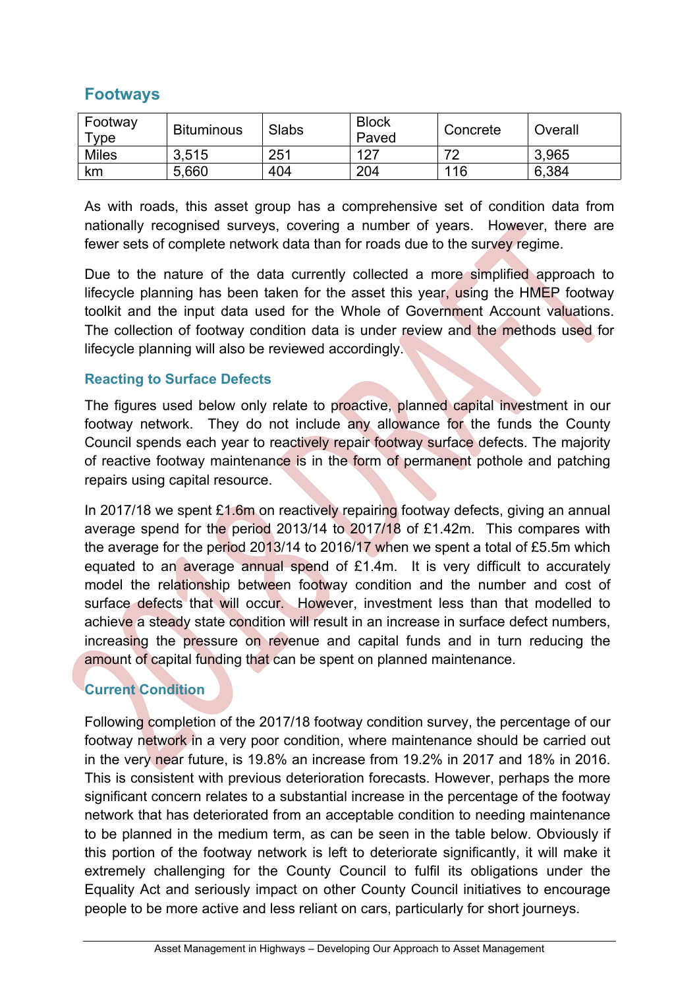# <span id="page-18-0"></span>**Footways**

| Footway<br>Type | <b>Bituminous</b> | Slabs | <b>Block</b><br>Paved | Concrete | Overall |
|-----------------|-------------------|-------|-----------------------|----------|---------|
| <b>Miles</b>    | 3,515             | 251   | 127                   | 70       | 3,965   |
| km              | 5,660             | 404   | 204                   | 116      | 6,384   |

As with roads, this asset group has a comprehensive set of condition data from nationally recognised surveys, covering a number of years. However, there are fewer sets of complete network data than for roads due to the survey regime.

Due to the nature of the data currently collected a more simplified approach to lifecycle planning has been taken for the asset this year, using the HMEP footway toolkit and the input data used for the Whole of Government Account valuations. The collection of footway condition data is under review and the methods used for lifecycle planning will also be reviewed accordingly.

# <span id="page-18-1"></span>**Reacting to Surface Defects**

The figures used below only relate to proactive, planned capital investment in our footway network. They do not include any allowance for the funds the County Council spends each year to reactively repair footway surface defects. The majority of reactive footway maintenance is in the form of permanent pothole and patching repairs using capital resource.

In 2017/18 we spent £1.6m on reactively repairing footway defects, giving an annual average spend for the period 2013/14 to 2017/18 of £1.42m. This compares with the average for the period 2013/14 to 2016/17 when we spent a total of £5.5m which equated to an average annual spend of £1.4m. It is very difficult to accurately model the relationship between footway condition and the number and cost of surface defects that will occur. However, investment less than that modelled to achieve a steady state condition will result in an increase in surface defect numbers, increasing the pressure on revenue and capital funds and in turn reducing the amount of capital funding that can be spent on planned maintenance.

# <span id="page-18-2"></span>**Current Condition**

Following completion of the 2017/18 footway condition survey, the percentage of our footway network in a very poor condition, where maintenance should be carried out in the very near future, is 19.8% an increase from 19.2% in 2017 and 18% in 2016. This is consistent with previous deterioration forecasts. However, perhaps the more significant concern relates to a substantial increase in the percentage of the footway network that has deteriorated from an acceptable condition to needing maintenance to be planned in the medium term, as can be seen in the table below. Obviously if this portion of the footway network is left to deteriorate significantly, it will make it extremely challenging for the County Council to fulfil its obligations under the Equality Act and seriously impact on other County Council initiatives to encourage people to be more active and less reliant on cars, particularly for short journeys.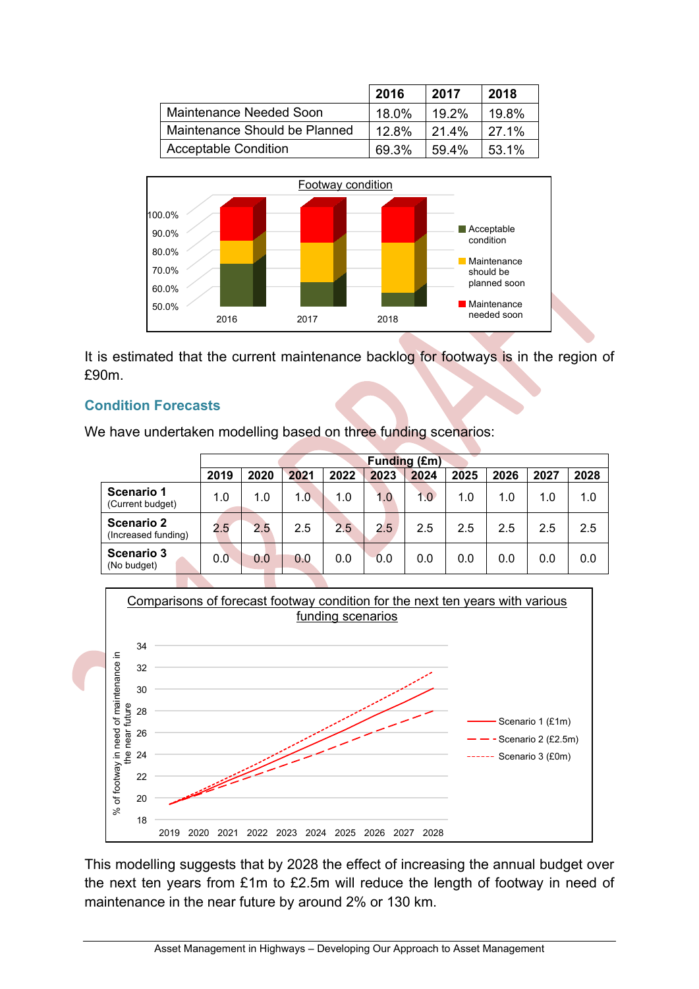|                               | 2016  | 2017     | 2018        |
|-------------------------------|-------|----------|-------------|
| Maintenance Needed Soon       | 18.0% | 19 2%    | 19.8%       |
| Maintenance Should be Planned | 12.8% | $21.4\%$ | <b>271%</b> |
| <b>Acceptable Condition</b>   | 69.3% | $59.4\%$ | 53.1%       |



It is estimated that the current maintenance backlog for footways is in the region of £90m.

# <span id="page-19-0"></span>**Condition Forecasts**

We have undertaken modelling based on three funding scenarios:

|                                          |      | <b>Funding (£m)</b> |      |      |      |      |      |      |      |      |  |
|------------------------------------------|------|---------------------|------|------|------|------|------|------|------|------|--|
|                                          | 2019 | 2020                | 2021 | 2022 | 2023 | 2024 | 2025 | 2026 | 2027 | 2028 |  |
| Scenario 1<br>(Current budget)           | 1.0  | 1.0                 | 1.0  | 1.0  | 1.0  | 1.0  | 1.0  | 1.0  | 1.0  | 1.0  |  |
| <b>Scenario 2</b><br>(Increased funding) | 2.5  | 2.5                 | 2.5  | 2.5  | 2.5  | 2.5  | 2.5  | 2.5  | 2.5  | 2.5  |  |
| Scenario 3<br>(No budget)                | 0.0  | 0.0                 | 0.0  | 0.0  | 0.0  | 0.0  | 0.0  | 0.0  | 0.0  | 0.0  |  |



This modelling suggests that by 2028 the effect of increasing the annual budget over the next ten years from £1m to £2.5m will reduce the length of footway in need of maintenance in the near future by around 2% or 130 km.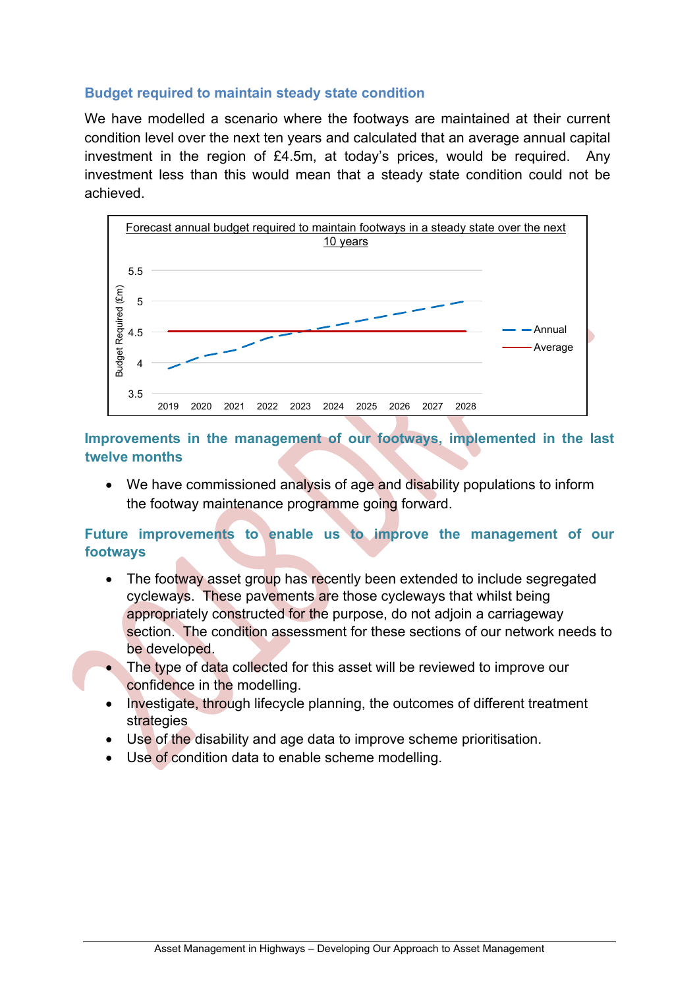# <span id="page-20-0"></span>**Budget required to maintain steady state condition**

We have modelled a scenario where the footways are maintained at their current condition level over the next ten years and calculated that an average annual capital investment in the region of £4.5m, at today's prices, would be required. Any investment less than this would mean that a steady state condition could not be achieved.



<span id="page-20-1"></span>**Improvements in the management of our footways, implemented in the last twelve months**

• We have commissioned analysis of age and disability populations to inform the footway maintenance programme going forward.

# <span id="page-20-2"></span>**Future improvements to enable us to improve the management of our footways**

- The footway asset group has recently been extended to include segregated cycleways. These pavements are those cycleways that whilst being appropriately constructed for the purpose, do not adjoin a carriageway section. The condition assessment for these sections of our network needs to be developed.
- The type of data collected for this asset will be reviewed to improve our confidence in the modelling.
- Investigate, through lifecycle planning, the outcomes of different treatment strategies
- Use of the disability and age data to improve scheme prioritisation.
- Use of condition data to enable scheme modelling.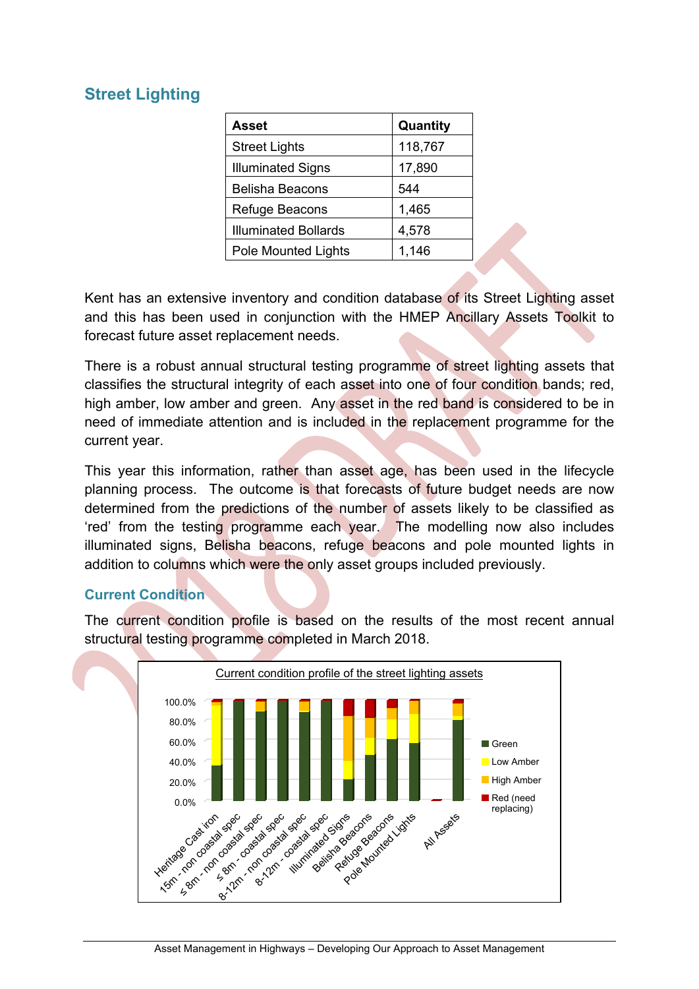# <span id="page-21-0"></span>**Street Lighting**

| <b>Asset</b>                | Quantity |
|-----------------------------|----------|
| <b>Street Lights</b>        | 118,767  |
| <b>Illuminated Signs</b>    | 17,890   |
| <b>Belisha Beacons</b>      | 544      |
| Refuge Beacons              | 1,465    |
| <b>Illuminated Bollards</b> | 4,578    |
| Pole Mounted Lights         | 1,146    |

Kent has an extensive inventory and condition database of its Street Lighting asset and this has been used in conjunction with the HMEP Ancillary Assets Toolkit to forecast future asset replacement needs.

There is a robust annual structural testing programme of street lighting assets that classifies the structural integrity of each asset into one of four condition bands; red, high amber, low amber and green. Any asset in the red band is considered to be in need of immediate attention and is included in the replacement programme for the current year.

This year this information, rather than asset age, has been used in the lifecycle planning process. The outcome is that forecasts of future budget needs are now determined from the predictions of the number of assets likely to be classified as 'red' from the testing programme each year. The modelling now also includes illuminated signs, Belisha beacons, refuge beacons and pole mounted lights in addition to columns which were the only asset groups included previously.

# <span id="page-21-1"></span>**Current Condition**

The current condition profile is based on the results of the most recent annual structural testing programme completed in March 2018.

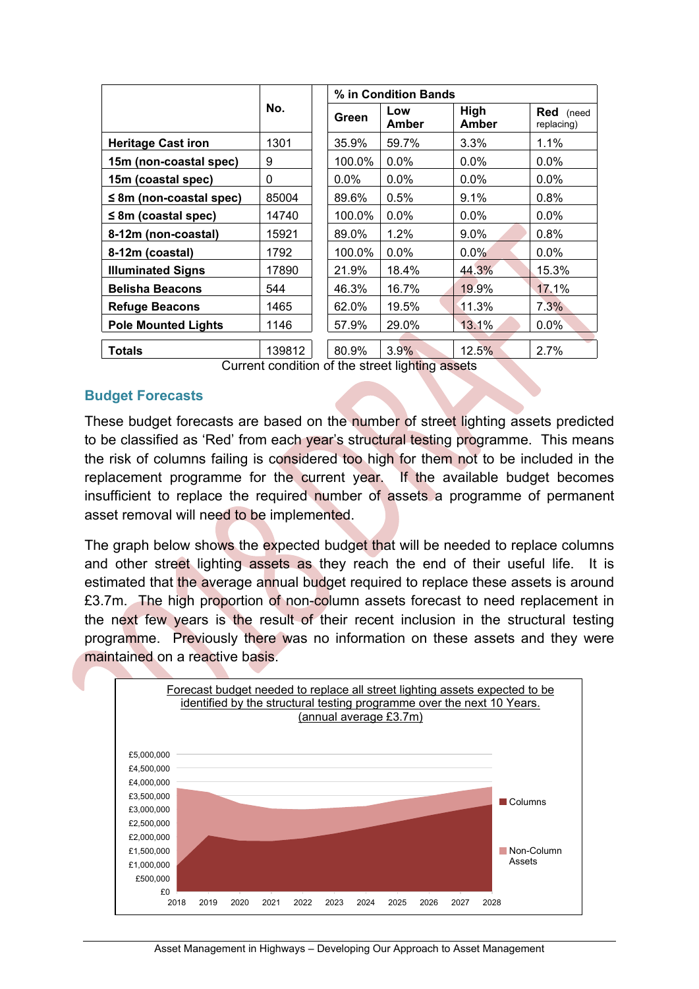|                              |        |         | % in Condition Bands |               |                         |
|------------------------------|--------|---------|----------------------|---------------|-------------------------|
|                              | No.    | Green   | Low<br>Amber         | High<br>Amber | Red (need<br>replacing) |
| <b>Heritage Cast iron</b>    | 1301   | 35.9%   | 59.7%                | 3.3%          | $1.1\%$                 |
| 15m (non-coastal spec)       | 9      | 100.0%  | 0.0%                 | $0.0\%$       | $0.0\%$                 |
| 15m (coastal spec)           | 0      | $0.0\%$ | 0.0%                 | $0.0\%$       | $0.0\%$                 |
| $\leq$ 8m (non-coastal spec) | 85004  | 89.6%   | 0.5%                 | 9.1%          | 0.8%                    |
| $\leq$ 8m (coastal spec)     | 14740  | 100.0%  | 0.0%                 | $0.0\%$       | $0.0\%$                 |
| 8-12m (non-coastal)          | 15921  | 89.0%   | 1.2%                 | $9.0\%$       | 0.8%                    |
| 8-12m (coastal)              | 1792   | 100.0%  | 0.0%                 | $0.0\%$       | $0.0\%$                 |
| <b>Illuminated Signs</b>     | 17890  | 21.9%   | 18.4%                | 44.3%         | 15.3%                   |
| <b>Belisha Beacons</b>       | 544    | 46.3%   | 16.7%                | 19.9%         | 17.1%                   |
| <b>Refuge Beacons</b>        | 1465   | 62.0%   | 19.5%                | 11.3%         | 7.3%                    |
| <b>Pole Mounted Lights</b>   | 1146   | 57.9%   | 29.0%                | 13.1%         | $0.0\%$                 |
|                              |        |         |                      |               |                         |
| <b>Totals</b>                | 139812 | 80.9%   | 3.9%                 | 12.5%         | 2.7%                    |

Current condition of the street lighting assets

# <span id="page-22-0"></span>**Budget Forecasts**

These budget forecasts are based on the number of street lighting assets predicted to be classified as 'Red' from each year's structural testing programme. This means the risk of columns failing is considered too high for them not to be included in the replacement programme for the current year. If the available budget becomes insufficient to replace the required number of assets a programme of permanent asset removal will need to be implemented.

The graph below shows the expected budget that will be needed to replace columns and other street lighting assets as they reach the end of their useful life. It is estimated that the average annual budget required to replace these assets is around £3.7m. The high proportion of non-column assets forecast to need replacement in the next few years is the result of their recent inclusion in the structural testing programme. Previously there was no information on these assets and they were maintained on a reactive basis.

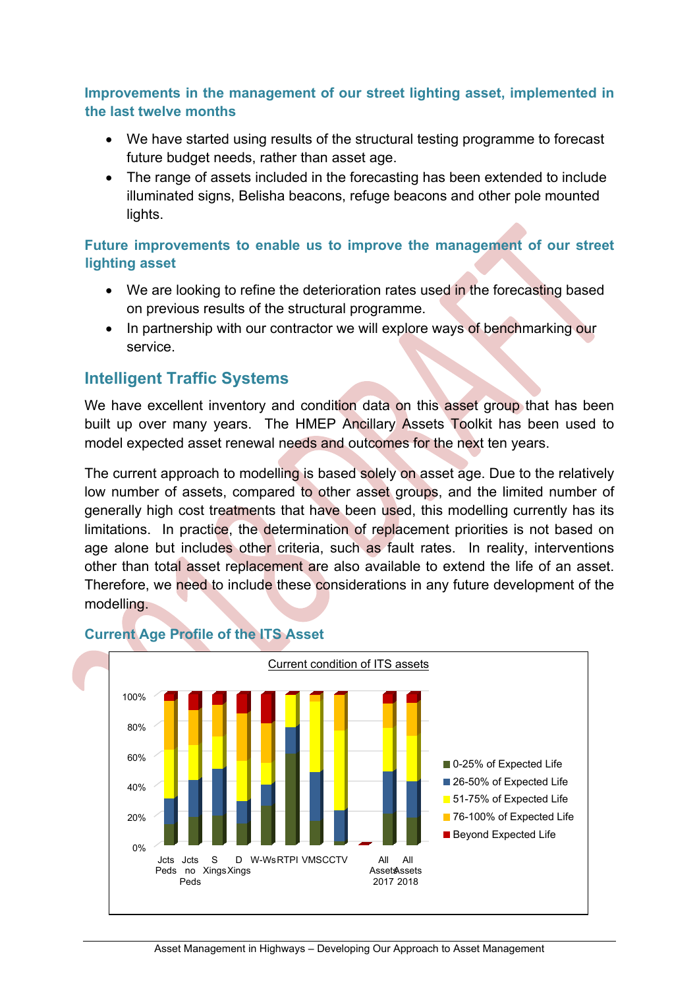# <span id="page-23-0"></span>**Improvements in the management of our street lighting asset, implemented in the last twelve months**

- We have started using results of the structural testing programme to forecast future budget needs, rather than asset age.
- The range of assets included in the forecasting has been extended to include illuminated signs, Belisha beacons, refuge beacons and other pole mounted lights.

# <span id="page-23-1"></span>**Future improvements to enable us to improve the management of our street lighting asset**

- We are looking to refine the deterioration rates used in the forecasting based on previous results of the structural programme.
- In partnership with our contractor we will explore ways of benchmarking our service.

# <span id="page-23-2"></span>**Intelligent Traffic Systems**

We have excellent inventory and condition data on this asset group that has been built up over many years. The HMEP Ancillary Assets Toolkit has been used to model expected asset renewal needs and outcomes for the next ten years.

The current approach to modelling is based solely on asset age. Due to the relatively low number of assets, compared to other asset groups, and the limited number of generally high cost treatments that have been used, this modelling currently has its limitations. In practice, the determination of replacement priorities is not based on age alone but includes other criteria, such as fault rates. In reality, interventions other than total asset replacement are also available to extend the life of an asset. Therefore, we need to include these considerations in any future development of the modelling.



# <span id="page-23-3"></span>**Current Age Profile of the ITS Asset**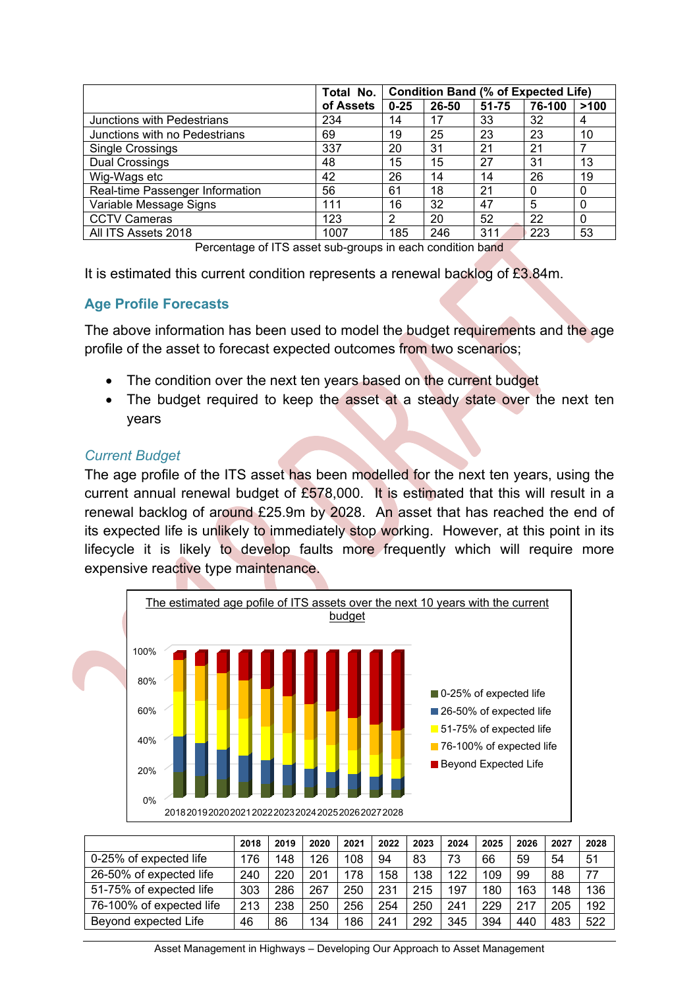|                                 | Total No. | <b>Condition Band (% of Expected Life)</b> |       |           |        |      |
|---------------------------------|-----------|--------------------------------------------|-------|-----------|--------|------|
|                                 | of Assets | $0 - 25$                                   | 26-50 | $51 - 75$ | 76-100 | >100 |
| Junctions with Pedestrians      | 234       | 14                                         | 17    | 33        | 32     | 4    |
| Junctions with no Pedestrians   | 69        | 19                                         | 25    | 23        | 23     | 10   |
| <b>Single Crossings</b>         | 337       | 20                                         | 31    | 21        | 21     |      |
| <b>Dual Crossings</b>           | 48        | 15                                         | 15    | 27        | 31     | 13   |
| Wig-Wags etc                    | 42        | 26                                         | 14    | 14        | 26     | 19   |
| Real-time Passenger Information | 56        | 61                                         | 18    | 21        |        | 0    |
| Variable Message Signs          | 111       | 16                                         | 32    | 47        | 5      | 0    |
| <b>CCTV Cameras</b>             | 123       | 2                                          | 20    | 52        | 22     | 0    |
| All ITS Assets 2018             | 1007      | 185                                        | 246   | 311       | 223    | 53   |

Percentage of ITS asset sub-groups in each condition band

It is estimated this current condition represents a renewal backlog of £3.84m.

# <span id="page-24-0"></span>**Age Profile Forecasts**

The above information has been used to model the budget requirements and the age profile of the asset to forecast expected outcomes from two scenarios;

- The condition over the next ten years based on the current budget
- The budget required to keep the asset at a steady state over the next ten years

# *Current Budget*

The age profile of the ITS asset has been modelled for the next ten years, using the current annual renewal budget of  $£578,000$ . It is estimated that this will result in a renewal backlog of around £25.9m by 2028. An asset that has reached the end of its expected life is unlikely to immediately stop working. However, at this point in its lifecycle it is likely to develop faults more frequently which will require more expensive reactive type maintenance.



|                          | 2018 | 2019 | 2020 | 2021 | 2022 | 2023 | 2024 | 2025 | 2026 | 2027 | 2028 |
|--------------------------|------|------|------|------|------|------|------|------|------|------|------|
| 0-25% of expected life   | 176  | 148  | 126  | 108  | 94   | 83   | 73   | 66   | 59   | 54   | 51   |
| 26-50% of expected life  | 240  | 220  | 201  | 178  | 158  | 138  | 122  | 109  | 99   | 88   | 77   |
| 51-75% of expected life  | 303  | 286  | 267  | 250  | 231  | 215  | 197  | 180  | 163  | 148  | 136  |
| 76-100% of expected life | 213  | 238  | 250  | 256  | 254  | 250  | 241  | 229  | 217  | 205  | 192  |
| Beyond expected Life     | 46   | 86   | 134  | 186  | 241  | 292  | 345  | 394  | 440  | 483  | 522  |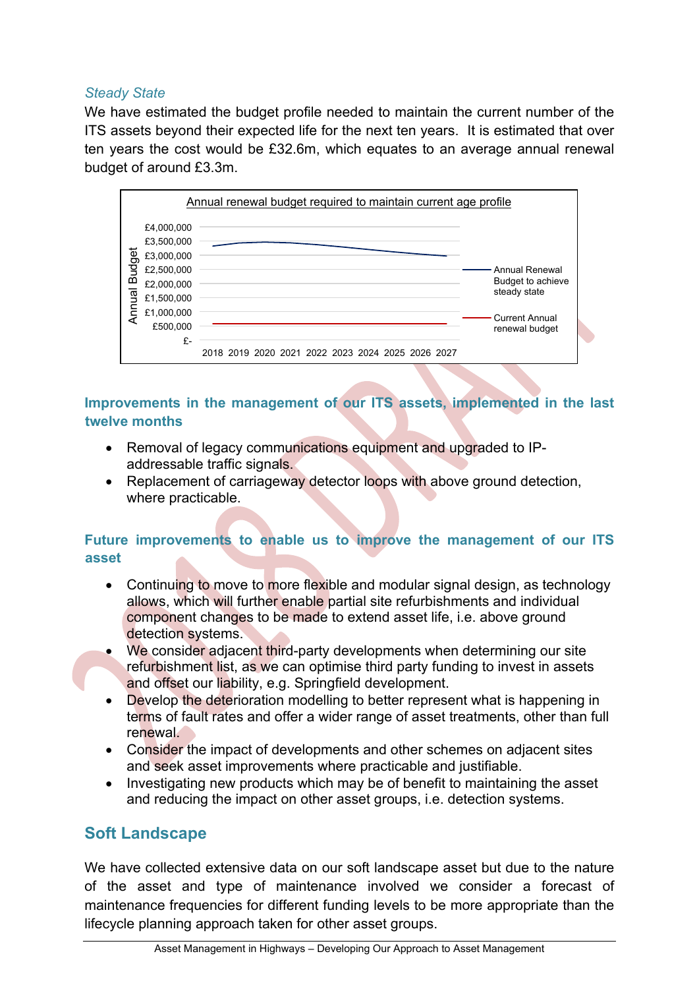# *Steady State*

We have estimated the budget profile needed to maintain the current number of the ITS assets beyond their expected life for the next ten years. It is estimated that over ten years the cost would be £32.6m, which equates to an average annual renewal budget of around £3.3m.



# <span id="page-25-0"></span>**Improvements in the management of our ITS assets, implemented in the last twelve months**

- Removal of legacy communications equipment and upgraded to IPaddressable traffic signals.
- Replacement of carriageway detector loops with above ground detection, where practicable.

# <span id="page-25-1"></span>**Future improvements to enable us to improve the management of our ITS asset**

- Continuing to move to more flexible and modular signal design, as technology allows, which will further enable partial site refurbishments and individual component changes to be made to extend asset life, i.e. above ground detection systems.
- We consider adjacent third-party developments when determining our site refurbishment list, as we can optimise third party funding to invest in assets and offset our liability, e.g. Springfield development.
- Develop the deterioration modelling to better represent what is happening in terms of fault rates and offer a wider range of asset treatments, other than full renewal.
- Consider the impact of developments and other schemes on adjacent sites and seek asset improvements where practicable and justifiable.
- Investigating new products which may be of benefit to maintaining the asset and reducing the impact on other asset groups, i.e. detection systems.

# <span id="page-25-2"></span>**Soft Landscape**

We have collected extensive data on our soft landscape asset but due to the nature of the asset and type of maintenance involved we consider a forecast of maintenance frequencies for different funding levels to be more appropriate than the lifecycle planning approach taken for other asset groups.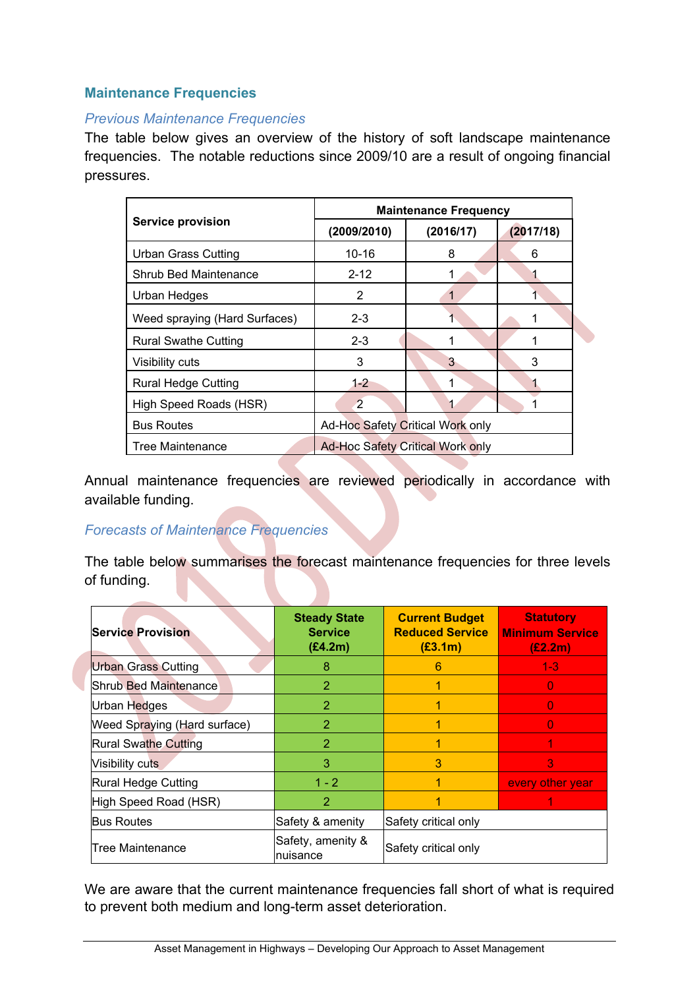# <span id="page-26-0"></span>**Maintenance Frequencies**

#### *Previous Maintenance Frequencies*

The table below gives an overview of the history of soft landscape maintenance frequencies. The notable reductions since 2009/10 are a result of ongoing financial pressures.

|                               | <b>Maintenance Frequency</b>            |           |           |  |  |  |  |
|-------------------------------|-----------------------------------------|-----------|-----------|--|--|--|--|
| <b>Service provision</b>      | (2009/2010)                             | (2016/17) | (2017/18) |  |  |  |  |
| <b>Urban Grass Cutting</b>    | $10 - 16$                               | 8         | 6         |  |  |  |  |
| Shrub Bed Maintenance         | $2 - 12$                                |           |           |  |  |  |  |
| Urban Hedges                  | 2                                       |           |           |  |  |  |  |
| Weed spraying (Hard Surfaces) | $2 - 3$                                 |           |           |  |  |  |  |
| <b>Rural Swathe Cutting</b>   | $2 - 3$                                 |           |           |  |  |  |  |
| Visibility cuts               | 3                                       | 3         | 3         |  |  |  |  |
| <b>Rural Hedge Cutting</b>    | $1 - 2$                                 | 1         |           |  |  |  |  |
| High Speed Roads (HSR)        | $\overline{2}$                          |           |           |  |  |  |  |
| <b>Bus Routes</b>             | Ad-Hoc Safety Critical Work only        |           |           |  |  |  |  |
| Tree Maintenance              | <b>Ad-Hoc Safety Critical Work only</b> |           |           |  |  |  |  |

Annual maintenance frequencies are reviewed periodically in accordance with available funding.

#### *Forecasts of Maintenance Frequencies*

The table below summarises the forecast maintenance frequencies for three levels of funding.

| <b>Service Provision</b>            | <b>Steady State</b><br><b>Service</b><br>(E4.2m) | <b>Current Budget</b><br><b>Reduced Service</b><br>(E3.1m) | <b>Statutory</b><br><b>Minimum Service</b><br>(E2.2m) |
|-------------------------------------|--------------------------------------------------|------------------------------------------------------------|-------------------------------------------------------|
| <b>Urban Grass Cutting</b>          | 8                                                | 6                                                          | $1 - 3$                                               |
| Shrub Bed Maintenance               | 2                                                |                                                            | 0                                                     |
| Urban Hedges                        | $\overline{2}$                                   |                                                            | 0                                                     |
| <b>Weed Spraying (Hard surface)</b> | $\overline{2}$                                   |                                                            | 0                                                     |
| <b>Rural Swathe Cutting</b>         | $\overline{2}$                                   | 1                                                          |                                                       |
| Visibility cuts                     | 3                                                | 3                                                          | 3                                                     |
| Rural Hedge Cutting                 | $1 - 2$                                          |                                                            | every other year                                      |
| High Speed Road (HSR)               | 2                                                |                                                            |                                                       |
| <b>Bus Routes</b>                   | Safety & amenity                                 | Safety critical only                                       |                                                       |
| Tree Maintenance                    | Safety, amenity &<br>Inuisance                   | Safety critical only                                       |                                                       |

We are aware that the current maintenance frequencies fall short of what is required to prevent both medium and long-term asset deterioration.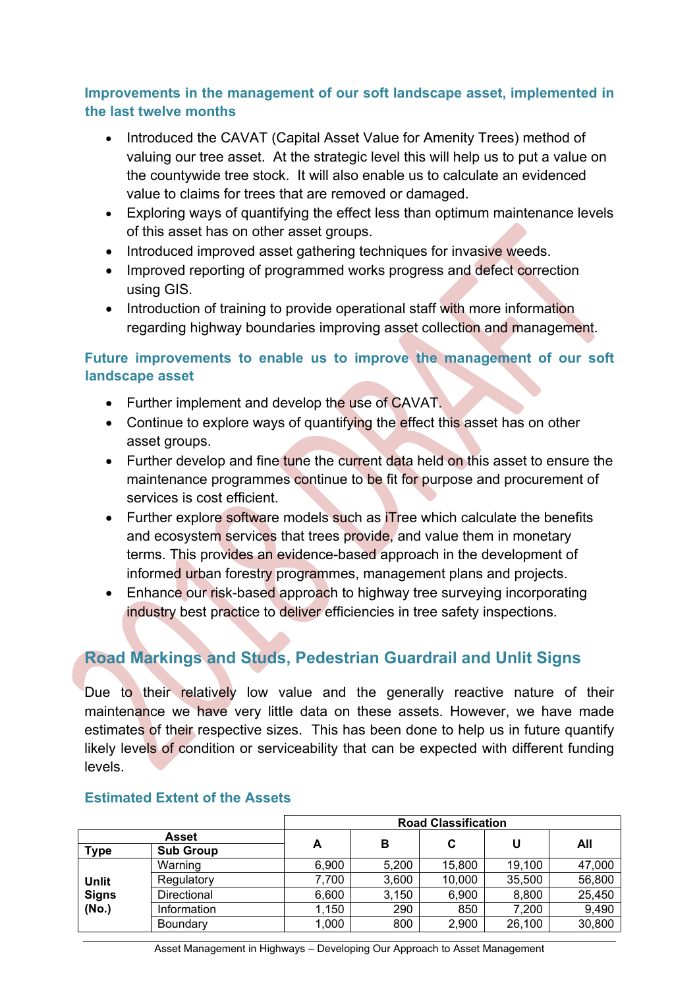# <span id="page-27-0"></span>**Improvements in the management of our soft landscape asset, implemented in the last twelve months**

- Introduced the CAVAT (Capital Asset Value for Amenity Trees) method of valuing our tree asset. At the strategic level this will help us to put a value on the countywide tree stock. It will also enable us to calculate an evidenced value to claims for trees that are removed or damaged.
- Exploring ways of quantifying the effect less than optimum maintenance levels of this asset has on other asset groups.
- Introduced improved asset gathering techniques for invasive weeds.
- Improved reporting of programmed works progress and defect correction using GIS.
- Introduction of training to provide operational staff with more information regarding highway boundaries improving asset collection and management.

# <span id="page-27-1"></span>**Future improvements to enable us to improve the management of our soft landscape asset**

- Further implement and develop the use of CAVAT.
- Continue to explore ways of quantifying the effect this asset has on other asset groups.
- Further develop and fine tune the current data held on this asset to ensure the maintenance programmes continue to be fit for purpose and procurement of services is cost efficient.
- Further explore software models such as iTree which calculate the benefits and ecosystem services that trees provide, and value them in monetary terms. This provides an evidence-based approach in the development of informed urban forestry programmes, management plans and projects.
- Enhance our risk-based approach to highway tree surveying incorporating industry best practice to deliver efficiencies in tree safety inspections.

# <span id="page-27-2"></span>**Road Markings and Studs, Pedestrian Guardrail and Unlit Signs**

Due to their relatively low value and the generally reactive nature of their maintenance we have very little data on these assets. However, we have made estimates of their respective sizes. This has been done to help us in future quantify likely levels of condition or serviceability that can be expected with different funding levels.

|              |                  | <b>Road Classification</b> |       |        |        |        |  |  |  |
|--------------|------------------|----------------------------|-------|--------|--------|--------|--|--|--|
|              | <b>Asset</b>     | A                          | в     | C      | U      | All    |  |  |  |
| <b>Type</b>  | <b>Sub Group</b> |                            |       |        |        |        |  |  |  |
|              | Warning          | 6,900                      | 5,200 | 15,800 | 19,100 | 47,000 |  |  |  |
| <b>Unlit</b> | Regulatory       | 7.700                      | 3,600 | 10,000 | 35,500 | 56,800 |  |  |  |
| <b>Signs</b> | Directional      | 6,600                      | 3,150 | 6,900  | 8,800  | 25,450 |  |  |  |
| (No.)        | Information      | 1,150                      | 290   | 850    | 7.200  | 9,490  |  |  |  |
|              | Boundary         | 1,000                      | 800   | 2,900  | 26,100 | 30,800 |  |  |  |

#### <span id="page-27-3"></span>**Estimated Extent of the Assets**

Asset Management in Highways – Developing Our Approach to Asset Management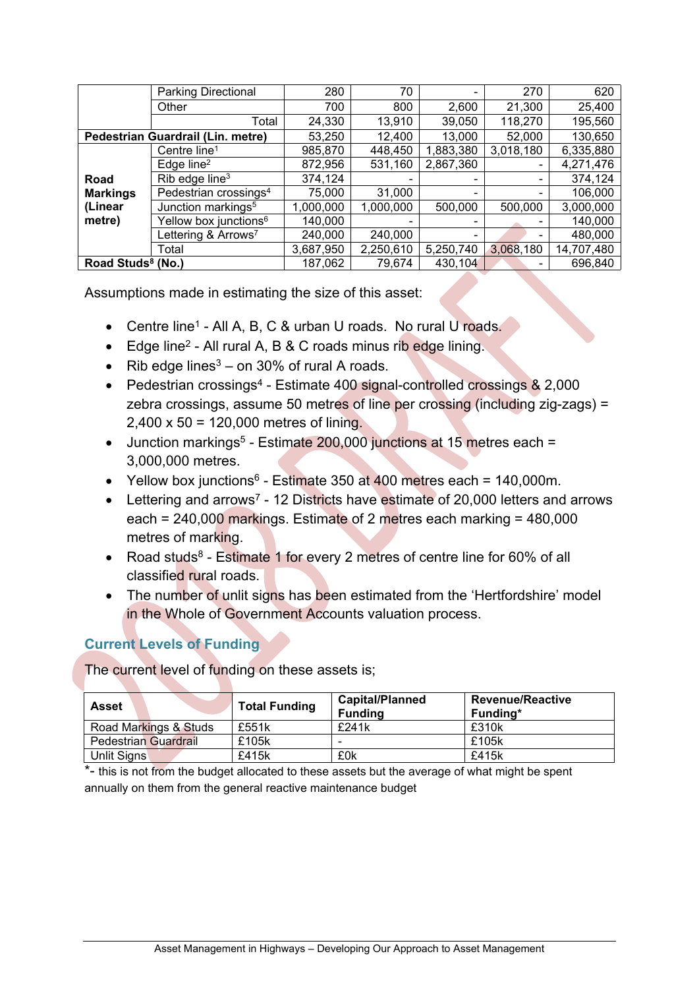|                               | <b>Parking Directional</b>        | 280       | 70                   |           | 270                          | 620        |
|-------------------------------|-----------------------------------|-----------|----------------------|-----------|------------------------------|------------|
|                               | Other                             | 700       | 800                  | 2,600     | 21,300                       | 25,400     |
|                               | Total                             | 24,330    | 13,910               | 39,050    | 118,270                      | 195,560    |
|                               | Pedestrian Guardrail (Lin. metre) | 53,250    | 12,400               | 13,000    | 52,000                       | 130,650    |
|                               | Centre line <sup>1</sup>          | 985,870   | 448,450              | 1,883,380 | 3,018,180                    | 6,335,880  |
|                               | Edge line <sup>2</sup>            | 872,956   | 2,867,360<br>531,160 |           | $\qquad \qquad \blacksquare$ | 4,271,476  |
| Road                          | Rib edge line <sup>3</sup>        | 374,124   |                      |           |                              | 374,124    |
| <b>Markings</b>               | Pedestrian crossings <sup>4</sup> | 75,000    | 31,000               |           |                              | 106,000    |
| (Linear                       | Junction markings <sup>5</sup>    | 1,000,000 | 1,000,000            | 500,000   | 500,000                      | 3,000,000  |
| metre)                        | Yellow box junctions <sup>6</sup> | 140,000   |                      |           |                              | 140,000    |
|                               | Lettering & Arrows <sup>7</sup>   | 240,000   | 240,000              |           |                              | 480,000    |
|                               | Total                             | 3,687,950 | 2,250,610            | 5,250,740 | 3,068,180                    | 14,707,480 |
| Road Studs <sup>8</sup> (No.) |                                   | 187,062   | 79,674               | 430,104   |                              | 696,840    |

Assumptions made in estimating the size of this asset:

- Centre line<sup>1</sup> All A, B, C & urban U roads. No rural U roads.
- Edge line<sup>2</sup> All rural A, B & C roads minus rib edge lining.
- Rib edge lines $3$  on 30% of rural A roads.
- Pedestrian crossings<sup>4</sup> Estimate 400 signal-controlled crossings & 2,000 zebra crossings, assume 50 metres of line per crossing (including zig-zags) = 2,400 x 50 = 120,000 metres of lining.
- Junction markings<sup>5</sup> Estimate 200,000 junctions at 15 metres each = 3,000,000 metres.
- Yellow box junctions $6$  Estimate 350 at 400 metres each = 140,000m.
- Lettering and arrows<sup>7</sup> 12 Districts have estimate of 20,000 letters and arrows each = 240,000 markings. Estimate of 2 metres each marking = 480,000 metres of marking.
- Road studs<sup>8</sup> Estimate 1 for every 2 metres of centre line for 60% of all classified rural roads.
- The number of unlit signs has been estimated from the 'Hertfordshire' model in the Whole of Government Accounts valuation process.

# <span id="page-28-0"></span>**Current Levels of Funding**

The current level of funding on these assets is;

| <b>Asset</b>                | <b>Total Funding</b> | <b>Capital/Planned</b><br><b>Funding</b> | <b>Revenue/Reactive</b><br>Funding* |
|-----------------------------|----------------------|------------------------------------------|-------------------------------------|
| Road Markings & Studs       | £551k                | £241k                                    | £310k                               |
| <b>Pedestrian Guardrail</b> | £105k                | -                                        | £105k                               |
| Unlit Signs                 | £415k                | £0k                                      | £415k                               |

\*- this is not from the budget allocated to these assets but the average of what might be spent annually on them from the general reactive maintenance budget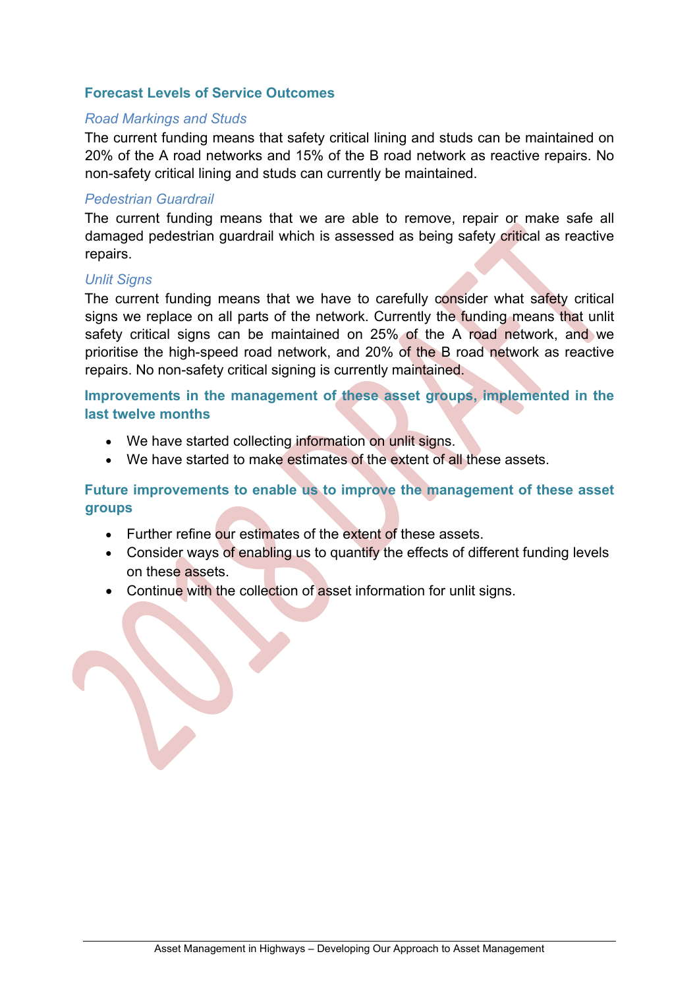#### <span id="page-29-0"></span>**Forecast Levels of Service Outcomes**

#### *Road Markings and Studs*

The current funding means that safety critical lining and studs can be maintained on 20% of the A road networks and 15% of the B road network as reactive repairs. No non-safety critical lining and studs can currently be maintained.

#### *Pedestrian Guardrail*

The current funding means that we are able to remove, repair or make safe all damaged pedestrian guardrail which is assessed as being safety critical as reactive repairs.

#### *Unlit Signs*

The current funding means that we have to carefully consider what safety critical signs we replace on all parts of the network. Currently the funding means that unlit safety critical signs can be maintained on 25% of the A road network, and we prioritise the high-speed road network, and 20% of the B road network as reactive repairs. No non-safety critical signing is currently maintained.

<span id="page-29-1"></span>**Improvements in the management of these asset groups, implemented in the last twelve months**

- We have started collecting information on unlit signs.
- We have started to make estimates of the extent of all these assets.

# <span id="page-29-2"></span>**Future improvements to enable us to improve the management of these asset groups**

- Further refine our estimates of the extent of these assets.
- Consider ways of enabling us to quantify the effects of different funding levels on these assets.
- Continue with the collection of asset information for unlit signs.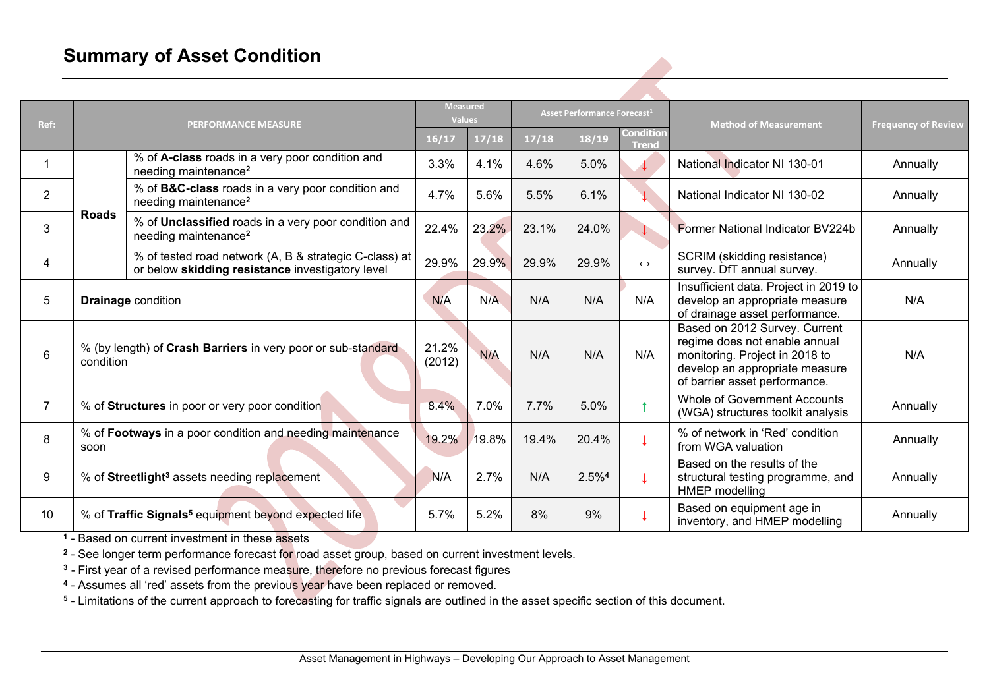# **Summary of Asset Condition**

| Ref:           |              | <b>Measured</b><br><b>Values</b><br><b>PERFORMANCE MEASURE</b>                                             |                 | Asset Performance Forecast <sup>1</sup> |       |                                           | <b>Method of Measurement</b> | <b>Frequency of Review</b>                                                                                                                                          |          |
|----------------|--------------|------------------------------------------------------------------------------------------------------------|-----------------|-----------------------------------------|-------|-------------------------------------------|------------------------------|---------------------------------------------------------------------------------------------------------------------------------------------------------------------|----------|
|                |              |                                                                                                            | 16/17           | 17/18                                   | 17/18 | <b>Condition</b><br>18/19<br><b>Trend</b> |                              |                                                                                                                                                                     |          |
|                |              | % of A-class roads in a very poor condition and<br>needing maintenance <sup>2</sup>                        | 3.3%            | 4.1%                                    | 4.6%  | 5.0%                                      |                              | National Indicator NI 130-01                                                                                                                                        | Annually |
| $\overline{2}$ |              | % of <b>B&amp;C-class</b> roads in a very poor condition and<br>needing maintenance <sup>2</sup>           | 4.7%            | 5.6%                                    | 5.5%  | 6.1%                                      |                              | National Indicator NI 130-02                                                                                                                                        | Annually |
| 3              | <b>Roads</b> | % of Unclassified roads in a very poor condition and<br>needing maintenance <sup>2</sup>                   | 22.4%           | 23.2%                                   | 23.1% | 24.0%                                     |                              | Former National Indicator BV224b                                                                                                                                    | Annually |
| 4              |              | % of tested road network (A, B & strategic C-class) at<br>or below skidding resistance investigatory level |                 | 29.9%                                   | 29.9% | 29.9%                                     | $\leftrightarrow$            | SCRIM (skidding resistance)<br>survey. DfT annual survey.                                                                                                           | Annually |
| 5              |              | <b>Drainage condition</b>                                                                                  | N/A             | N/A                                     | N/A   | N/A                                       | N/A                          | Insufficient data. Project in 2019 to<br>develop an appropriate measure<br>of drainage asset performance.                                                           | N/A      |
| 6              | condition    | % (by length) of Crash Barriers in very poor or sub-standard                                               | 21.2%<br>(2012) | N/A                                     | N/A   | N/A                                       | N/A                          | Based on 2012 Survey. Current<br>regime does not enable annual<br>monitoring. Project in 2018 to<br>develop an appropriate measure<br>of barrier asset performance. | N/A      |
| $\overline{7}$ |              | % of Structures in poor or very poor condition                                                             | 8.4%            | 7.0%                                    | 7.7%  | 5.0%                                      |                              | <b>Whole of Government Accounts</b><br>(WGA) structures toolkit analysis                                                                                            | Annually |
| 8              | soon         | % of Footways in a poor condition and needing maintenance                                                  | 19.2%           | 19.8%                                   | 19.4% | 20.4%                                     |                              | % of network in 'Red' condition<br>from WGA valuation                                                                                                               | Annually |
| 9              |              | % of Streetlight <sup>3</sup> assets needing replacement                                                   | N/A             | 2.7%                                    | N/A   | $2.5\%4$                                  |                              | Based on the results of the<br>structural testing programme, and<br>HMEP modelling                                                                                  | Annually |
| 10             |              | % of Traffic Signals <sup>5</sup> equipment beyond expected life                                           | 5.7%            | 5.2%                                    | 8%    | 9%                                        |                              | Based on equipment age in<br>inventory, and HMEP modelling                                                                                                          | Annually |

<span id="page-30-0"></span>**1** - Based on current investment in these assets

**2** - See longer term performance forecast for road asset group, based on current investment levels.

**3 -** First year of a revised performance measure, therefore no previous forecast figures

**4** - Assumes all 'red' assets from the previous year have been replaced or removed.

**5** - Limitations of the current approach to forecasting for traffic signals are outlined in the asset specific section of this document.